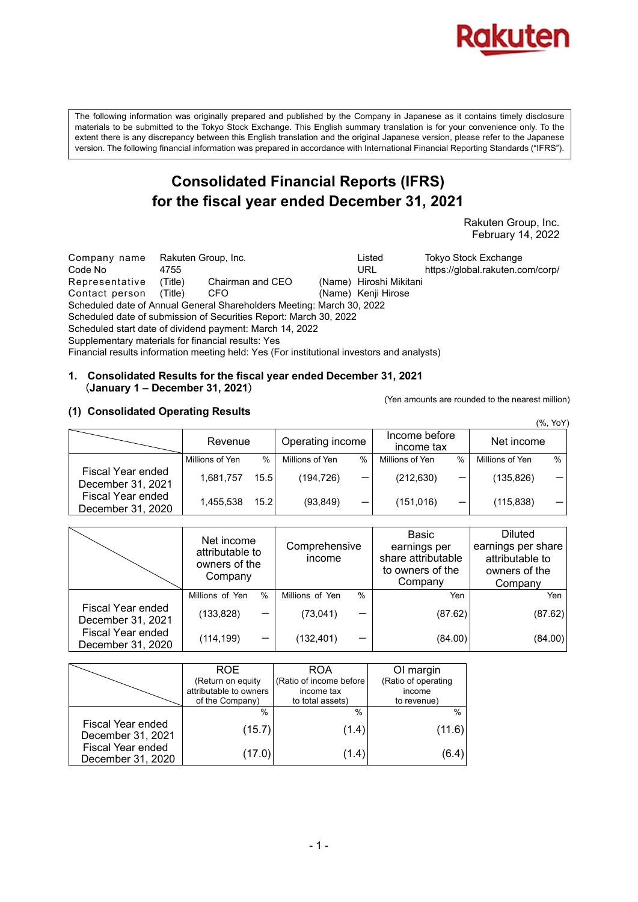

The following information was originally prepared and published by the Company in Japanese as it contains timely disclosure materials to be submitted to the Tokyo Stock Exchange. This English summary translation is for your convenience only. To the extent there is any discrepancy between this English translation and the original Japanese version, please refer to the Japanese version. The following financial information was prepared in accordance with International Financial Reporting Standards ("IFRS").

## **Consolidated Financial Reports (IFRS) for the fiscal year ended December 31, 2021**

 Rakuten Group, Inc. February 14, 2022

Company name Rakuten Group, Inc. Listed Tokyo Stock Exchange Code No 4755 URL https://global.rakuten.com/corp/ Representative (Title) Chairman and CEO (Name) Hiroshi Mikitani Contact person (Title) CFO (Name) Kenji Hirose Scheduled date of Annual General Shareholders Meeting: March 30, 2022 Scheduled date of submission of Securities Report: March 30, 2022 Scheduled start date of dividend payment: March 14, 2022 Supplementary materials for financial results: Yes Financial results information meeting held: Yes (For institutional investors and analysts)

#### **1. Consolidated Results for the fiscal year ended December 31, 2021**  (**January 1 – December 31, 2021**)

(Yen amounts are rounded to the nearest million)

## **(1) Consolidated Operating Results**

|                                        |                 |      |                  |                          |                             |      |                 | (%, YoY) |
|----------------------------------------|-----------------|------|------------------|--------------------------|-----------------------------|------|-----------------|----------|
|                                        | Revenue         |      | Operating income |                          | Income before<br>income tax |      | Net income      |          |
|                                        | Millions of Yen | $\%$ | Millions of Yen  | $\%$                     | Millions of Yen             | $\%$ | Millions of Yen | $\%$     |
| Fiscal Year ended<br>December 31, 2021 | 1,681,757       | 15.5 | (194,726)        |                          | (212, 630)                  |      | (135, 826)      |          |
| Fiscal Year ended<br>December 31, 2020 | 1,455,538       | 15.2 | (93, 849)        | $\overline{\phantom{0}}$ | (151, 016)                  |      | (115, 838)      |          |

|                                        | Net income<br>attributable to<br>owners of the<br>Company |      | Comprehensive<br>income |      | Basic<br>earnings per<br>share attributable<br>to owners of the<br>Company | <b>Diluted</b><br>earnings per share<br>attributable to<br>owners of the<br>Company |
|----------------------------------------|-----------------------------------------------------------|------|-------------------------|------|----------------------------------------------------------------------------|-------------------------------------------------------------------------------------|
|                                        | Millions of Yen                                           | $\%$ | Millions of Yen         | $\%$ | Yen                                                                        | Yen                                                                                 |
| Fiscal Year ended<br>December 31, 2021 | (133, 828)                                                |      | (73, 041)               | –    | (87.62)                                                                    | (87.62)                                                                             |
| Fiscal Year ended<br>December 31, 2020 | (114, 199)                                                |      | (132, 401)              |      | (84.00)                                                                    | (84.00)                                                                             |

|                                        | <b>ROE</b>             | <b>ROA</b>              | OI margin           |
|----------------------------------------|------------------------|-------------------------|---------------------|
|                                        | (Return on equity      | (Ratio of income before | (Ratio of operating |
|                                        | attributable to owners | income tax              | income              |
|                                        | of the Company)        | to total assets)        | to revenue)         |
|                                        | $\frac{0}{0}$          | $\%$                    | $\frac{0}{0}$       |
| Fiscal Year ended<br>December 31, 2021 | (15.7)                 | (1.4)                   | (11.6)              |
| Fiscal Year ended<br>December 31, 2020 | (17.0)                 | (1.4)                   | (6.4)               |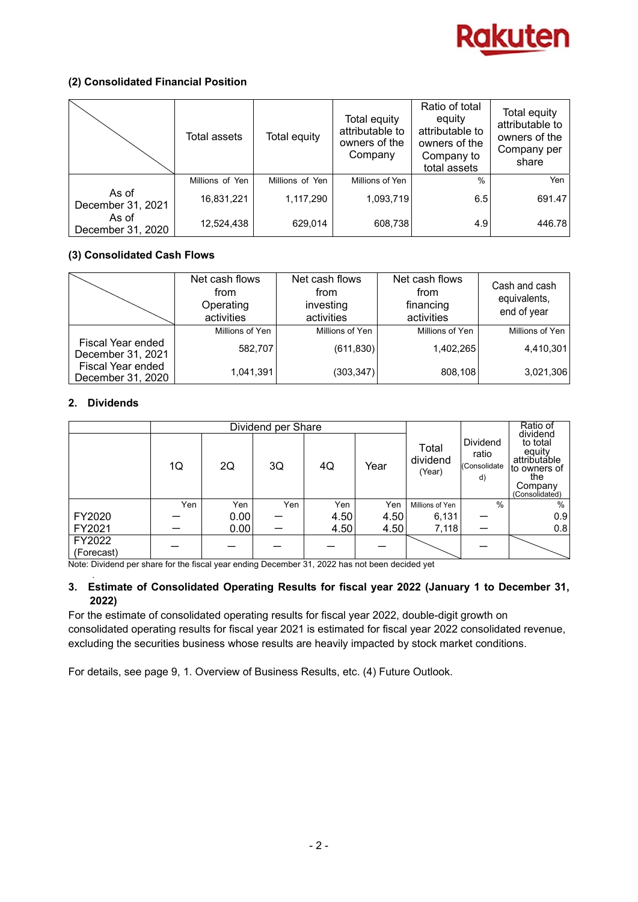

## **(2) Consolidated Financial Position**

|                            | Total assets    | Total equity    | Total equity<br>attributable to<br>owners of the<br>Company | Ratio of total<br>equity<br>attributable to<br>owners of the<br>Company to<br>total assets | Total equity<br>attributable to<br>owners of the<br>Company per<br>share |
|----------------------------|-----------------|-----------------|-------------------------------------------------------------|--------------------------------------------------------------------------------------------|--------------------------------------------------------------------------|
|                            | Millions of Yen | Millions of Yen | Millions of Yen                                             | $\frac{0}{0}$                                                                              | Yen                                                                      |
| As of<br>December 31, 2021 | 16,831,221      | 1,117,290       | 1,093,719                                                   | 6.5                                                                                        | 691.47                                                                   |
| As of<br>December 31, 2020 | 12,524,438      | 629,014         | 608,738                                                     | 4.9                                                                                        | 446.78                                                                   |

## **(3) Consolidated Cash Flows**

|                                        | Net cash flows<br>from<br>Operating<br>activities | Net cash flows<br>from<br>investing<br>activities | Net cash flows<br>from<br>financing<br>activities | Cash and cash<br>equivalents,<br>end of year |
|----------------------------------------|---------------------------------------------------|---------------------------------------------------|---------------------------------------------------|----------------------------------------------|
|                                        | Millions of Yen                                   | Millions of Yen                                   | Millions of Yen                                   | Millions of Yen                              |
| Fiscal Year ended<br>December 31, 2021 | 582,707                                           | (611, 830)                                        | 1,402,265                                         | 4,410,301                                    |
| Fiscal Year ended<br>December 31, 2020 | 1,041,391                                         | (303, 347)                                        | 808,108                                           | 3,021,306                                    |

## **2. Dividends**

|                      | Dividend per Share |      |     |      |      |                             | Ratio of                                |                                                                                                    |
|----------------------|--------------------|------|-----|------|------|-----------------------------|-----------------------------------------|----------------------------------------------------------------------------------------------------|
|                      | 1Q                 | 2Q   | 3Q  | 4Q   | Year | Total<br>dividend<br>(Year) | Dividend<br>ratio<br>(Consolidate<br>d) | dividend<br>to total<br>equity<br>attributable<br>to owners of<br>the<br>Company<br>(Consolidated) |
|                      | Yen                | Yen  | Yen | Yen  | Yen  | Millions of Yen             | $\%$                                    | $\%$                                                                                               |
| FY2020               |                    | 0.00 |     | 4.50 | 4.50 | 6,131                       |                                         | 0.9                                                                                                |
| FY2021               |                    | 0.00 |     | 4.50 | 4.50 | 7,118                       |                                         | 0.8                                                                                                |
| FY2022<br>(Forecast) |                    |      |     |      |      |                             |                                         |                                                                                                    |

Note: Dividend per share for the fiscal year ending December 31, 2022 has not been decided yet

#### . **3. Estimate of Consolidated Operating Results for fiscal year 2022 (January 1 to December 31, 2022)**

For the estimate of consolidated operating results for fiscal year 2022, double-digit growth on consolidated operating results for fiscal year 2021 is estimated for fiscal year 2022 consolidated revenue, excluding the securities business whose results are heavily impacted by stock market conditions.

For details, see page 9, 1. Overview of Business Results, etc. (4) Future Outlook.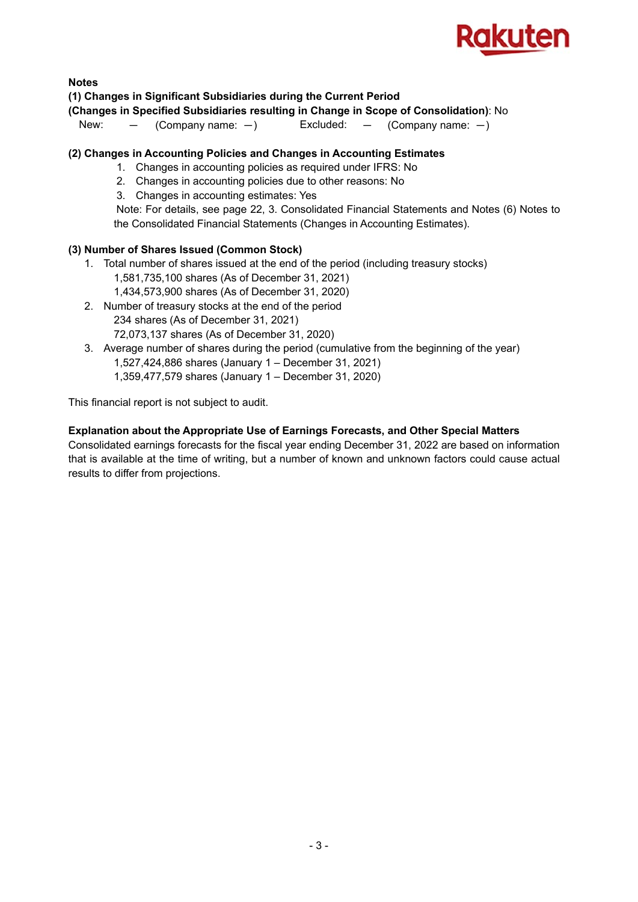

## **Notes**

## **(1) Changes in Significant Subsidiaries during the Current Period**

## **(Changes in Specified Subsidiaries resulting in Change in Scope of Consolidation)**: No

New:  $-$  (Company name:  $-$ ) Excluded:  $-$  (Company name:  $-$ )

## **(2) Changes in Accounting Policies and Changes in Accounting Estimates**

- 1. Changes in accounting policies as required under IFRS: No
- 2. Changes in accounting policies due to other reasons: No
- 3. Changes in accounting estimates: Yes

 Note: For details, see page 22, 3. Consolidated Financial Statements and Notes (6) Notes to the Consolidated Financial Statements (Changes in Accounting Estimates).

## **(3) Number of Shares Issued (Common Stock)**

- 1. Total number of shares issued at the end of the period (including treasury stocks)
	- 1,581,735,100 shares (As of December 31, 2021)
	- 1,434,573,900 shares (As of December 31, 2020)
- 2. Number of treasury stocks at the end of the period 234 shares (As of December 31, 2021) 72,073,137 shares (As of December 31, 2020)
- 3. Average number of shares during the period (cumulative from the beginning of the year) 1,527,424,886 shares (January 1 – December 31, 2021) 1,359,477,579 shares (January 1 – December 31, 2020)

This financial report is not subject to audit.

## **Explanation about the Appropriate Use of Earnings Forecasts, and Other Special Matters**

Consolidated earnings forecasts for the fiscal year ending December 31, 2022 are based on information that is available at the time of writing, but a number of known and unknown factors could cause actual results to differ from projections.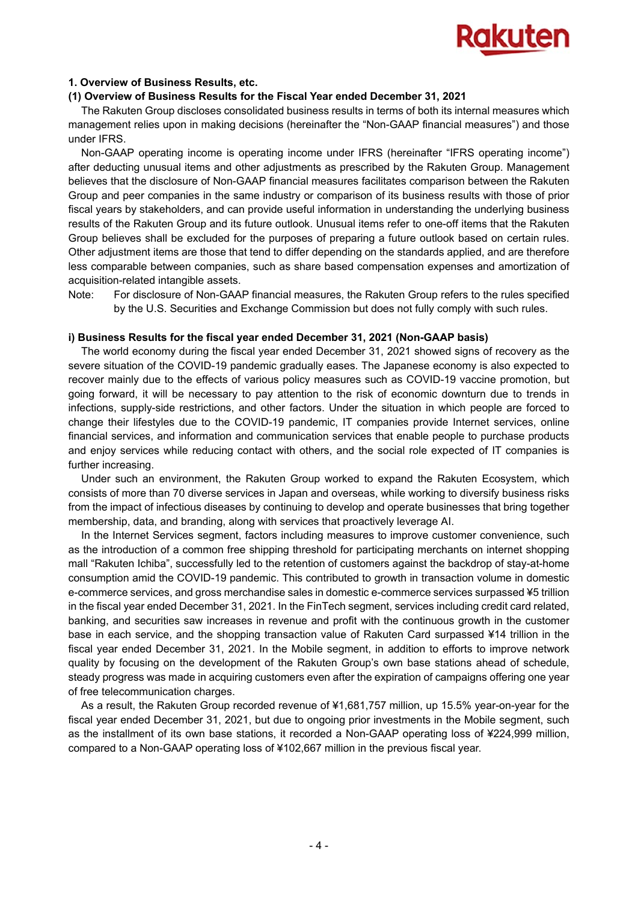

#### **1. Overview of Business Results, etc.**

#### **(1) Overview of Business Results for the Fiscal Year ended December 31, 2021**

The Rakuten Group discloses consolidated business results in terms of both its internal measures which management relies upon in making decisions (hereinafter the "Non-GAAP financial measures") and those under IFRS.

Non-GAAP operating income is operating income under IFRS (hereinafter "IFRS operating income") after deducting unusual items and other adjustments as prescribed by the Rakuten Group. Management believes that the disclosure of Non-GAAP financial measures facilitates comparison between the Rakuten Group and peer companies in the same industry or comparison of its business results with those of prior fiscal years by stakeholders, and can provide useful information in understanding the underlying business results of the Rakuten Group and its future outlook. Unusual items refer to one-off items that the Rakuten Group believes shall be excluded for the purposes of preparing a future outlook based on certain rules. Other adjustment items are those that tend to differ depending on the standards applied, and are therefore less comparable between companies, such as share based compensation expenses and amortization of acquisition-related intangible assets.

Note: For disclosure of Non-GAAP financial measures, the Rakuten Group refers to the rules specified by the U.S. Securities and Exchange Commission but does not fully comply with such rules.

#### **i) Business Results for the fiscal year ended December 31, 2021 (Non-GAAP basis)**

The world economy during the fiscal year ended December 31, 2021 showed signs of recovery as the severe situation of the COVID-19 pandemic gradually eases. The Japanese economy is also expected to recover mainly due to the effects of various policy measures such as COVID-19 vaccine promotion, but going forward, it will be necessary to pay attention to the risk of economic downturn due to trends in infections, supply-side restrictions, and other factors. Under the situation in which people are forced to change their lifestyles due to the COVID-19 pandemic, IT companies provide Internet services, online financial services, and information and communication services that enable people to purchase products and enjoy services while reducing contact with others, and the social role expected of IT companies is further increasing.

Under such an environment, the Rakuten Group worked to expand the Rakuten Ecosystem, which consists of more than 70 diverse services in Japan and overseas, while working to diversify business risks from the impact of infectious diseases by continuing to develop and operate businesses that bring together membership, data, and branding, along with services that proactively leverage AI.

In the Internet Services segment, factors including measures to improve customer convenience, such as the introduction of a common free shipping threshold for participating merchants on internet shopping mall "Rakuten Ichiba", successfully led to the retention of customers against the backdrop of stay-at-home consumption amid the COVID-19 pandemic. This contributed to growth in transaction volume in domestic e-commerce services, and gross merchandise sales in domestic e-commerce services surpassed ¥5 trillion in the fiscal year ended December 31, 2021. In the FinTech segment, services including credit card related, banking, and securities saw increases in revenue and profit with the continuous growth in the customer base in each service, and the shopping transaction value of Rakuten Card surpassed ¥14 trillion in the fiscal year ended December 31, 2021. In the Mobile segment, in addition to efforts to improve network quality by focusing on the development of the Rakuten Group's own base stations ahead of schedule, steady progress was made in acquiring customers even after the expiration of campaigns offering one year of free telecommunication charges.

As a result, the Rakuten Group recorded revenue of ¥1,681,757 million, up 15.5% year-on-year for the fiscal year ended December 31, 2021, but due to ongoing prior investments in the Mobile segment, such as the installment of its own base stations, it recorded a Non-GAAP operating loss of ¥224,999 million, compared to a Non-GAAP operating loss of ¥102,667 million in the previous fiscal year.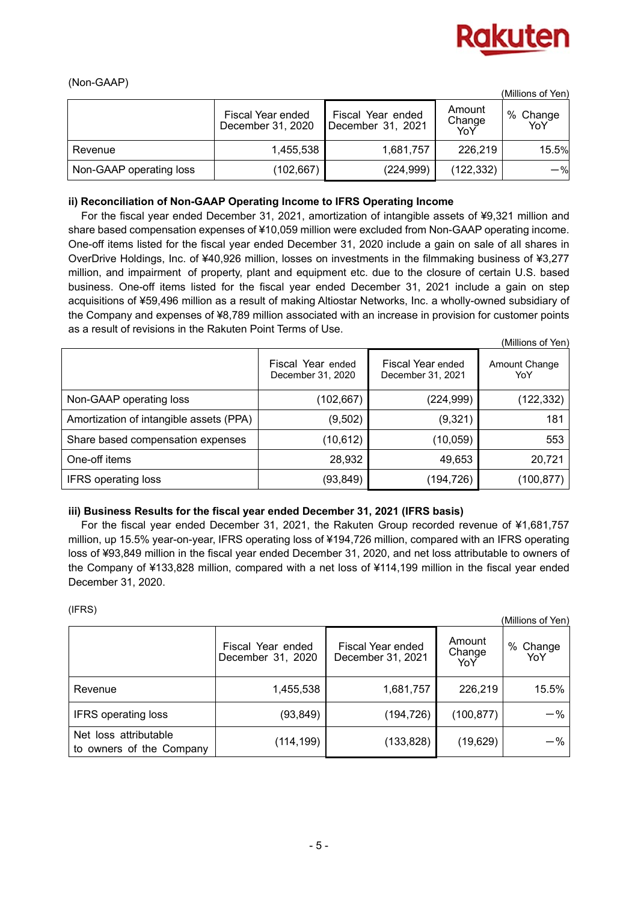

(Millions of Yen)

## (Non-GAAP)

|                         |                                        |                                        |                         | (Millions of Yen) |
|-------------------------|----------------------------------------|----------------------------------------|-------------------------|-------------------|
|                         | Fiscal Year ended<br>December 31, 2020 | Fiscal Year ended<br>December 31, 2021 | Amount<br>Change<br>YoY | % Change<br>YoY   |
| Revenue                 | 1,455,538                              | 1,681,757                              | 226,219                 | 15.5%             |
| Non-GAAP operating loss | (102, 667)                             | (224, 999)                             | (122, 332)              | $-$ %             |

## **ii) Reconciliation of Non-GAAP Operating Income to IFRS Operating Income**

For the fiscal year ended December 31, 2021, amortization of intangible assets of ¥9,321 million and share based compensation expenses of ¥10,059 million were excluded from Non-GAAP operating income. One-off items listed for the fiscal year ended December 31, 2020 include a gain on sale of all shares in OverDrive Holdings, Inc. of ¥40,926 million, losses on investments in the filmmaking business of ¥3,277 million, and impairment of property, plant and equipment etc. due to the closure of certain U.S. based business. One-off items listed for the fiscal year ended December 31, 2021 include a gain on step acquisitions of ¥59,496 million as a result of making Altiostar Networks, Inc. a wholly-owned subsidiary of the Company and expenses of ¥8,789 million associated with an increase in provision for customer points as a result of revisions in the Rakuten Point Terms of Use.

|                                         |                                        |                                               | ווסו וט כווטוווועון  |
|-----------------------------------------|----------------------------------------|-----------------------------------------------|----------------------|
|                                         | Fiscal Year ended<br>December 31, 2020 | <b>Fiscal Year ended</b><br>December 31, 2021 | Amount Change<br>YoY |
| Non-GAAP operating loss                 | (102, 667)                             | (224, 999)                                    | (122, 332)           |
| Amortization of intangible assets (PPA) | (9, 502)                               | (9,321)                                       | 181                  |
| Share based compensation expenses       | (10, 612)                              | (10, 059)                                     | 553                  |
| One-off items                           | 28,932                                 | 49,653                                        | 20,721               |
| <b>IFRS operating loss</b>              | (93, 849)                              | (194,726)                                     | (100,877)            |

## **iii) Business Results for the fiscal year ended December 31, 2021 (IFRS basis)**

For the fiscal year ended December 31, 2021, the Rakuten Group recorded revenue of ¥1,681,757 million, up 15.5% year-on-year, IFRS operating loss of ¥194,726 million, compared with an IFRS operating loss of ¥93,849 million in the fiscal year ended December 31, 2020, and net loss attributable to owners of the Company of ¥133,828 million, compared with a net loss of ¥114,199 million in the fiscal year ended December 31, 2020.

(IFRS)

| (11.10)<br>(Millions of Yen)                      |                                        |                                        |                         |                 |  |  |
|---------------------------------------------------|----------------------------------------|----------------------------------------|-------------------------|-----------------|--|--|
|                                                   | Fiscal Year ended<br>December 31, 2020 | Fiscal Year ended<br>December 31, 2021 | Amount<br>Change<br>YoY | % Change<br>YoY |  |  |
| Revenue                                           | 1,455,538                              | 1,681,757                              | 226,219                 | 15.5%           |  |  |
| <b>IFRS</b> operating loss                        | (93, 849)                              | (194, 726)                             | (100, 877)              | $-$ %           |  |  |
| Net loss attributable<br>to owners of the Company | (114, 199)                             | (133, 828)                             | (19, 629)               | $-$ %           |  |  |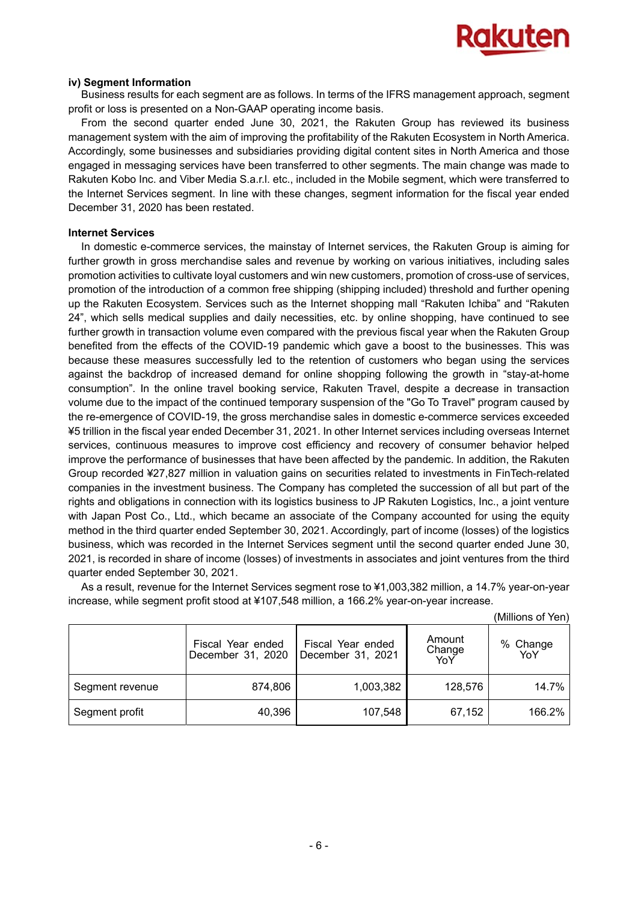

#### **iv) Segment Information**

Business results for each segment are as follows. In terms of the IFRS management approach, segment profit or loss is presented on a Non-GAAP operating income basis.

From the second quarter ended June 30, 2021, the Rakuten Group has reviewed its business management system with the aim of improving the profitability of the Rakuten Ecosystem in North America. Accordingly, some businesses and subsidiaries providing digital content sites in North America and those engaged in messaging services have been transferred to other segments. The main change was made to Rakuten Kobo Inc. and Viber Media S.a.r.l. etc., included in the Mobile segment, which were transferred to the Internet Services segment. In line with these changes, segment information for the fiscal year ended December 31, 2020 has been restated.

#### **Internet Services**

In domestic e-commerce services, the mainstay of Internet services, the Rakuten Group is aiming for further growth in gross merchandise sales and revenue by working on various initiatives, including sales promotion activities to cultivate loyal customers and win new customers, promotion of cross-use of services, promotion of the introduction of a common free shipping (shipping included) threshold and further opening up the Rakuten Ecosystem. Services such as the Internet shopping mall "Rakuten Ichiba" and "Rakuten 24", which sells medical supplies and daily necessities, etc. by online shopping, have continued to see further growth in transaction volume even compared with the previous fiscal year when the Rakuten Group benefited from the effects of the COVID-19 pandemic which gave a boost to the businesses. This was because these measures successfully led to the retention of customers who began using the services against the backdrop of increased demand for online shopping following the growth in "stay-at-home consumption". In the online travel booking service, Rakuten Travel, despite a decrease in transaction volume due to the impact of the continued temporary suspension of the "Go To Travel" program caused by the re-emergence of COVID-19, the gross merchandise sales in domestic e-commerce services exceeded ¥5 trillion in the fiscal year ended December 31, 2021. In other Internet services including overseas Internet services, continuous measures to improve cost efficiency and recovery of consumer behavior helped improve the performance of businesses that have been affected by the pandemic. In addition, the Rakuten Group recorded ¥27,827 million in valuation gains on securities related to investments in FinTech-related companies in the investment business. The Company has completed the succession of all but part of the rights and obligations in connection with its logistics business to JP Rakuten Logistics, Inc., a joint venture with Japan Post Co., Ltd., which became an associate of the Company accounted for using the equity method in the third quarter ended September 30, 2021. Accordingly, part of income (losses) of the logistics business, which was recorded in the Internet Services segment until the second quarter ended June 30, 2021, is recorded in share of income (losses) of investments in associates and joint ventures from the third quarter ended September 30, 2021.

As a result, revenue for the Internet Services segment rose to ¥1,003,382 million, a 14.7% year-on-year increase, while segment profit stood at ¥107,548 million, a 166.2% year-on-year increase.

|                 |                                        |                                        |                         | (Millions of Yen) |
|-----------------|----------------------------------------|----------------------------------------|-------------------------|-------------------|
|                 | Fiscal Year ended<br>December 31, 2020 | Fiscal Year ended<br>December 31, 2021 | Amount<br>Change<br>YoY | % Change<br>YoY   |
| Segment revenue | 874,806                                | 1,003,382                              | 128,576                 | 14.7%             |
| Segment profit  | 40,396                                 | 107,548                                | 67,152                  | 166.2%            |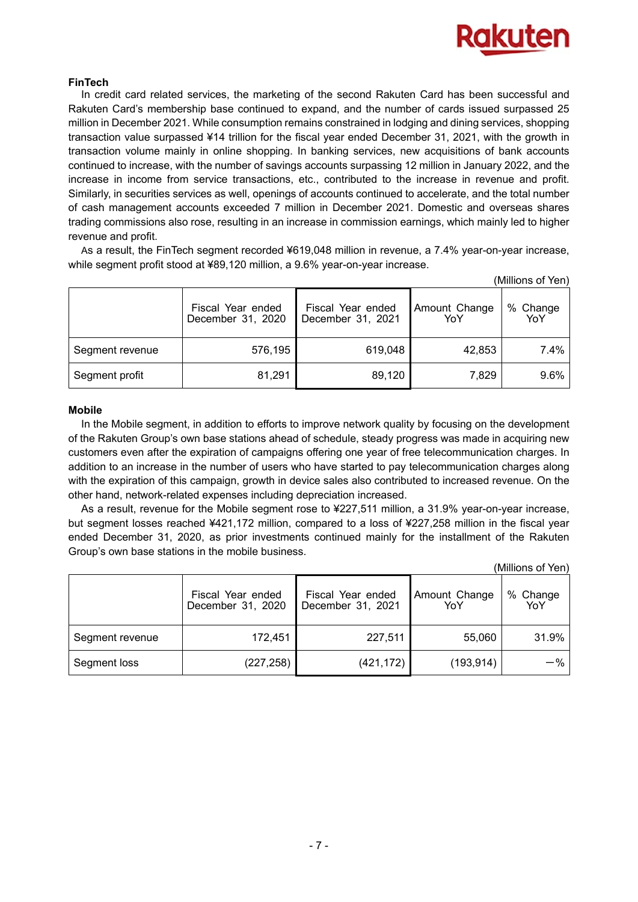

## **FinTech**

In credit card related services, the marketing of the second Rakuten Card has been successful and Rakuten Card's membership base continued to expand, and the number of cards issued surpassed 25 million in December 2021. While consumption remains constrained in lodging and dining services, shopping transaction value surpassed ¥14 trillion for the fiscal year ended December 31, 2021, with the growth in transaction volume mainly in online shopping. In banking services, new acquisitions of bank accounts continued to increase, with the number of savings accounts surpassing 12 million in January 2022, and the increase in income from service transactions, etc., contributed to the increase in revenue and profit. Similarly, in securities services as well, openings of accounts continued to accelerate, and the total number of cash management accounts exceeded 7 million in December 2021. Domestic and overseas shares trading commissions also rose, resulting in an increase in commission earnings, which mainly led to higher revenue and profit.

As a result, the FinTech segment recorded ¥619,048 million in revenue, a 7.4% year-on-year increase, while segment profit stood at ¥89,120 million, a 9.6% year-on-year increase.

|                 |                                        |                                        |                      | (Millions of Yen)            |
|-----------------|----------------------------------------|----------------------------------------|----------------------|------------------------------|
|                 | Fiscal Year ended<br>December 31, 2020 | Fiscal Year ended<br>December 31, 2021 | Amount Change<br>YoY | % Change<br>YoY <sup>"</sup> |
| Segment revenue | 576,195                                | 619,048                                | 42,853               | 7.4%                         |
| Segment profit  | 81,291                                 | 89,120                                 | 7,829                | 9.6%                         |

#### **Mobile**

In the Mobile segment, in addition to efforts to improve network quality by focusing on the development of the Rakuten Group's own base stations ahead of schedule, steady progress was made in acquiring new customers even after the expiration of campaigns offering one year of free telecommunication charges. In addition to an increase in the number of users who have started to pay telecommunication charges along with the expiration of this campaign, growth in device sales also contributed to increased revenue. On the other hand, network-related expenses including depreciation increased.

As a result, revenue for the Mobile segment rose to ¥227,511 million, a 31.9% year-on-year increase, but segment losses reached ¥421,172 million, compared to a loss of ¥227,258 million in the fiscal year ended December 31, 2020, as prior investments continued mainly for the installment of the Rakuten Group's own base stations in the mobile business.

(Millions of Yen)

|                 | Fiscal Year ended<br>December 31, 2020 | Fiscal Year ended<br>December 31, 2021 | Amount Change<br>YoY | % Change<br>YoY |
|-----------------|----------------------------------------|----------------------------------------|----------------------|-----------------|
| Segment revenue | 172,451                                | 227,511                                | 55,060               | 31.9%           |
| Segment loss    | (227,258)                              | (421, 172)                             | (193, 914)           | $-$ %           |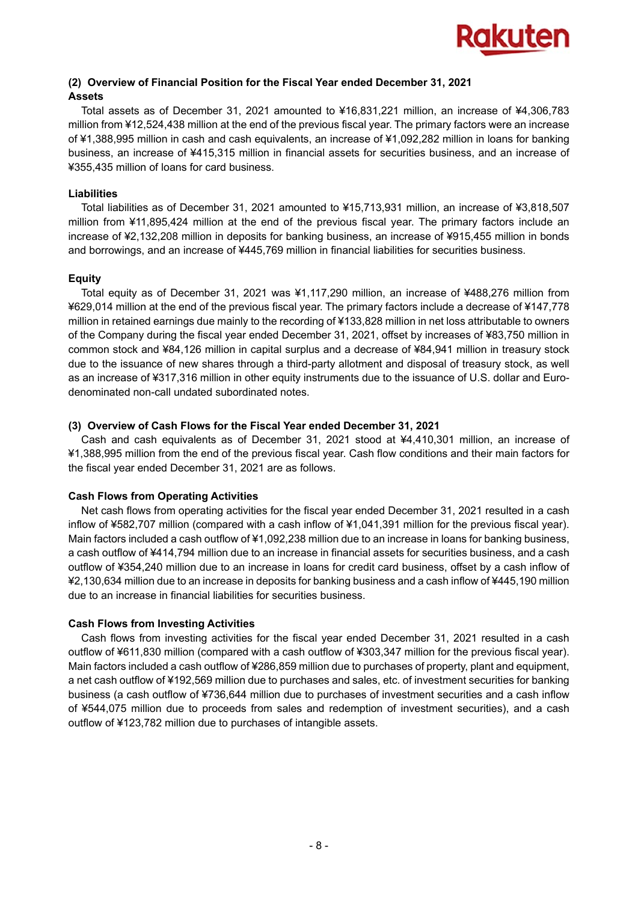

## **(2) Overview of Financial Position for the Fiscal Year ended December 31, 2021 Assets**

Total assets as of December 31, 2021 amounted to ¥16,831,221 million, an increase of ¥4,306,783 million from ¥12,524,438 million at the end of the previous fiscal year. The primary factors were an increase of ¥1,388,995 million in cash and cash equivalents, an increase of ¥1,092,282 million in loans for banking business, an increase of ¥415,315 million in financial assets for securities business, and an increase of ¥355,435 million of loans for card business.

### **Liabilities**

Total liabilities as of December 31, 2021 amounted to ¥15,713,931 million, an increase of ¥3,818,507 million from ¥11,895,424 million at the end of the previous fiscal year. The primary factors include an increase of ¥2,132,208 million in deposits for banking business, an increase of ¥915,455 million in bonds and borrowings, and an increase of ¥445,769 million in financial liabilities for securities business.

## **Equity**

Total equity as of December 31, 2021 was ¥1,117,290 million, an increase of ¥488,276 million from ¥629,014 million at the end of the previous fiscal year. The primary factors include a decrease of ¥147,778 million in retained earnings due mainly to the recording of ¥133,828 million in net loss attributable to owners of the Company during the fiscal year ended December 31, 2021, offset by increases of ¥83,750 million in common stock and ¥84,126 million in capital surplus and a decrease of ¥84,941 million in treasury stock due to the issuance of new shares through a third-party allotment and disposal of treasury stock, as well as an increase of ¥317,316 million in other equity instruments due to the issuance of U.S. dollar and Eurodenominated non-call undated subordinated notes.

## **(3) Overview of Cash Flows for the Fiscal Year ended December 31, 2021**

Cash and cash equivalents as of December 31, 2021 stood at ¥4,410,301 million, an increase of ¥1,388,995 million from the end of the previous fiscal year. Cash flow conditions and their main factors for the fiscal year ended December 31, 2021 are as follows.

## **Cash Flows from Operating Activities**

Net cash flows from operating activities for the fiscal year ended December 31, 2021 resulted in a cash inflow of ¥582,707 million (compared with a cash inflow of ¥1,041,391 million for the previous fiscal year). Main factors included a cash outflow of ¥1,092,238 million due to an increase in loans for banking business, a cash outflow of ¥414,794 million due to an increase in financial assets for securities business, and a cash outflow of ¥354,240 million due to an increase in loans for credit card business, offset by a cash inflow of ¥2,130,634 million due to an increase in deposits for banking business and a cash inflow of ¥445,190 million due to an increase in financial liabilities for securities business.

## **Cash Flows from Investing Activities**

Cash flows from investing activities for the fiscal year ended December 31, 2021 resulted in a cash outflow of ¥611,830 million (compared with a cash outflow of ¥303,347 million for the previous fiscal year). Main factors included a cash outflow of ¥286,859 million due to purchases of property, plant and equipment, a net cash outflow of ¥192,569 million due to purchases and sales, etc. of investment securities for banking business (a cash outflow of ¥736,644 million due to purchases of investment securities and a cash inflow of ¥544,075 million due to proceeds from sales and redemption of investment securities), and a cash outflow of ¥123,782 million due to purchases of intangible assets.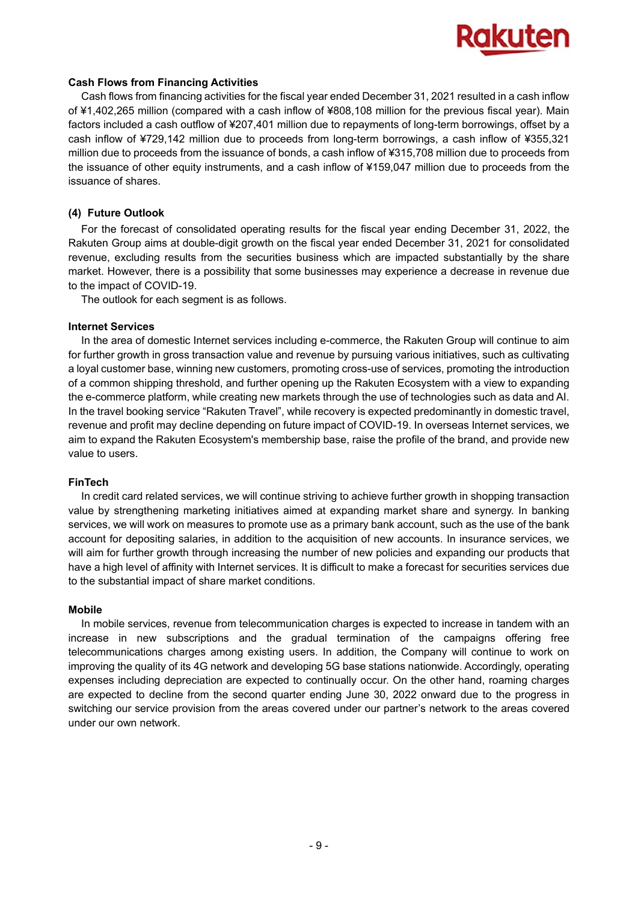

#### **Cash Flows from Financing Activities**

Cash flows from financing activities for the fiscal year ended December 31, 2021 resulted in a cash inflow of ¥1,402,265 million (compared with a cash inflow of ¥808,108 million for the previous fiscal year). Main factors included a cash outflow of ¥207,401 million due to repayments of long-term borrowings, offset by a cash inflow of ¥729,142 million due to proceeds from long-term borrowings, a cash inflow of ¥355,321 million due to proceeds from the issuance of bonds, a cash inflow of ¥315,708 million due to proceeds from the issuance of other equity instruments, and a cash inflow of ¥159,047 million due to proceeds from the issuance of shares.

## **(4) Future Outlook**

For the forecast of consolidated operating results for the fiscal year ending December 31, 2022, the Rakuten Group aims at double-digit growth on the fiscal year ended December 31, 2021 for consolidated revenue, excluding results from the securities business which are impacted substantially by the share market. However, there is a possibility that some businesses may experience a decrease in revenue due to the impact of COVID-19.

The outlook for each segment is as follows.

## **Internet Services**

In the area of domestic Internet services including e-commerce, the Rakuten Group will continue to aim for further growth in gross transaction value and revenue by pursuing various initiatives, such as cultivating a loyal customer base, winning new customers, promoting cross-use of services, promoting the introduction of a common shipping threshold, and further opening up the Rakuten Ecosystem with a view to expanding the e-commerce platform, while creating new markets through the use of technologies such as data and AI. In the travel booking service "Rakuten Travel", while recovery is expected predominantly in domestic travel, revenue and profit may decline depending on future impact of COVID-19. In overseas Internet services, we aim to expand the Rakuten Ecosystem's membership base, raise the profile of the brand, and provide new value to users.

## **FinTech**

In credit card related services, we will continue striving to achieve further growth in shopping transaction value by strengthening marketing initiatives aimed at expanding market share and synergy. In banking services, we will work on measures to promote use as a primary bank account, such as the use of the bank account for depositing salaries, in addition to the acquisition of new accounts. In insurance services, we will aim for further growth through increasing the number of new policies and expanding our products that have a high level of affinity with Internet services. It is difficult to make a forecast for securities services due to the substantial impact of share market conditions.

#### **Mobile**

In mobile services, revenue from telecommunication charges is expected to increase in tandem with an increase in new subscriptions and the gradual termination of the campaigns offering free telecommunications charges among existing users. In addition, the Company will continue to work on improving the quality of its 4G network and developing 5G base stations nationwide. Accordingly, operating expenses including depreciation are expected to continually occur. On the other hand, roaming charges are expected to decline from the second quarter ending June 30, 2022 onward due to the progress in switching our service provision from the areas covered under our partner's network to the areas covered under our own network.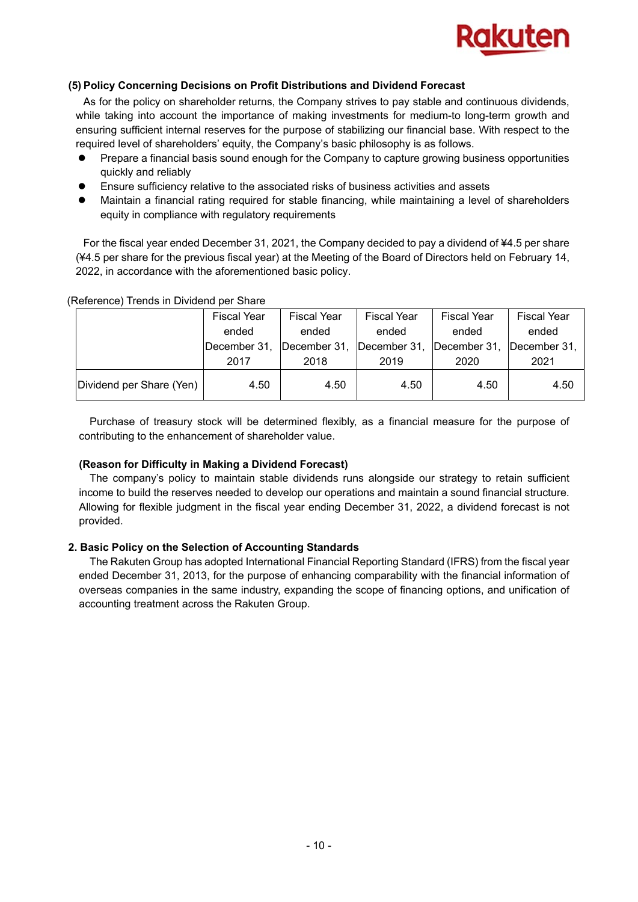

## **(5) Policy Concerning Decisions on Profit Distributions and Dividend Forecast**

As for the policy on shareholder returns, the Company strives to pay stable and continuous dividends, while taking into account the importance of making investments for medium-to long-term growth and ensuring sufficient internal reserves for the purpose of stabilizing our financial base. With respect to the required level of shareholders' equity, the Company's basic philosophy is as follows.

- Prepare a financial basis sound enough for the Company to capture growing business opportunities quickly and reliably
- Ensure sufficiency relative to the associated risks of business activities and assets
- Maintain a financial rating required for stable financing, while maintaining a level of shareholders equity in compliance with regulatory requirements

For the fiscal year ended December 31, 2021, the Company decided to pay a dividend of ¥4.5 per share (¥4.5 per share for the previous fiscal year) at the Meeting of the Board of Directors held on February 14, 2022, in accordance with the aforementioned basic policy.

|                          | <b>Fiscal Year</b> | <b>Fiscal Year</b> | <b>Fiscal Year</b> | <b>Fiscal Year</b> | <b>Fiscal Year</b>   |
|--------------------------|--------------------|--------------------|--------------------|--------------------|----------------------|
|                          | ended              | ended              | ended              | ended              | ended                |
|                          | December 31,       | December 31,       | December 31,       | December 31,       | <b>IDecember 31.</b> |
|                          | 2017               | 2018               | 2019               | 2020               | 2021                 |
| Dividend per Share (Yen) | 4.50               | 4.50               | 4.50               | 4.50               | 4.50                 |

(Reference) Trends in Dividend per Share

Purchase of treasury stock will be determined flexibly, as a financial measure for the purpose of contributing to the enhancement of shareholder value.

## **(Reason for Difficulty in Making a Dividend Forecast)**

The company's policy to maintain stable dividends runs alongside our strategy to retain sufficient income to build the reserves needed to develop our operations and maintain a sound financial structure. Allowing for flexible judgment in the fiscal year ending December 31, 2022, a dividend forecast is not provided.

## **2. Basic Policy on the Selection of Accounting Standards**

The Rakuten Group has adopted International Financial Reporting Standard (IFRS) from the fiscal year ended December 31, 2013, for the purpose of enhancing comparability with the financial information of overseas companies in the same industry, expanding the scope of financing options, and unification of accounting treatment across the Rakuten Group.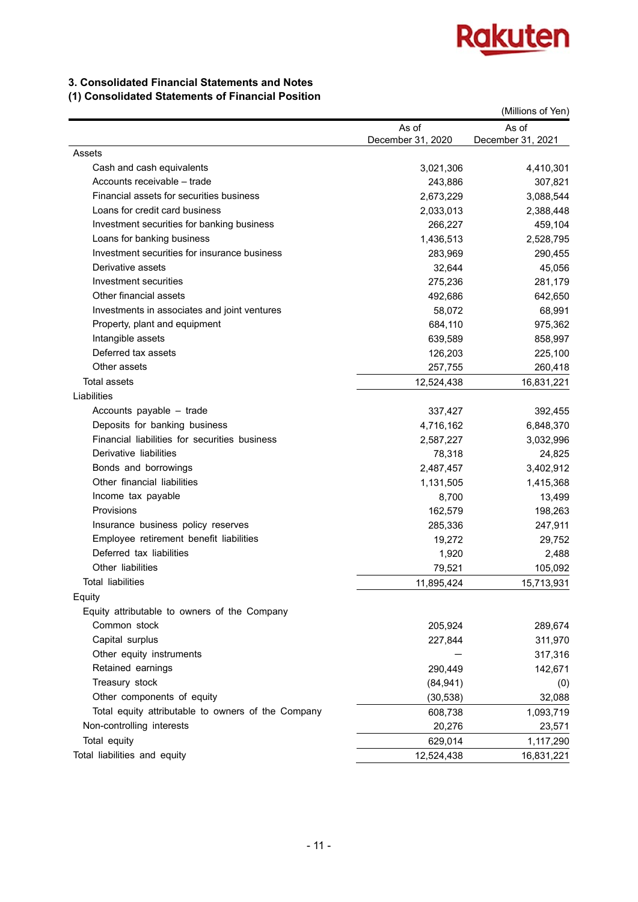

## **3. Consolidated Financial Statements and Notes**

## **(1) Consolidated Statements of Financial Position**

|                                                    |                   | (Millions of Yen) |
|----------------------------------------------------|-------------------|-------------------|
|                                                    | As of             | As of             |
|                                                    | December 31, 2020 | December 31, 2021 |
| Assets                                             |                   |                   |
| Cash and cash equivalents                          | 3,021,306         | 4,410,301         |
| Accounts receivable – trade                        | 243,886           | 307,821           |
| Financial assets for securities business           | 2,673,229         | 3,088,544         |
| Loans for credit card business                     | 2,033,013         | 2,388,448         |
| Investment securities for banking business         | 266,227           | 459,104           |
| Loans for banking business                         | 1,436,513         | 2,528,795         |
| Investment securities for insurance business       | 283,969           | 290,455           |
| Derivative assets                                  | 32,644            | 45,056            |
| Investment securities                              | 275,236           | 281,179           |
| Other financial assets                             | 492,686           | 642,650           |
| Investments in associates and joint ventures       | 58,072            | 68,991            |
| Property, plant and equipment                      | 684,110           | 975,362           |
| Intangible assets                                  | 639,589           | 858,997           |
| Deferred tax assets                                | 126,203           | 225,100           |
| Other assets                                       | 257,755           | 260,418           |
| <b>Total assets</b>                                | 12,524,438        | 16,831,221        |
| Liabilities                                        |                   |                   |
| Accounts payable - trade                           | 337,427           | 392,455           |
| Deposits for banking business                      | 4,716,162         | 6,848,370         |
| Financial liabilities for securities business      | 2,587,227         | 3,032,996         |
| Derivative liabilities                             | 78,318            | 24,825            |
| Bonds and borrowings                               | 2,487,457         | 3,402,912         |
| Other financial liabilities                        | 1,131,505         | 1,415,368         |
| Income tax payable                                 | 8,700             | 13,499            |
| Provisions                                         | 162,579           | 198,263           |
| Insurance business policy reserves                 | 285,336           | 247,911           |
| Employee retirement benefit liabilities            | 19,272            | 29,752            |
| Deferred tax liabilities                           | 1,920             | 2,488             |
| Other liabilities                                  | 79,521            | 105,092           |
| Total liabilities                                  | 11,895,424        | 15,713,931        |
| Equity                                             |                   |                   |
| Equity attributable to owners of the Company       |                   |                   |
| Common stock                                       | 205,924           | 289,674           |
| Capital surplus                                    | 227,844           | 311,970           |
| Other equity instruments                           |                   | 317,316           |
| Retained earnings                                  | 290,449           | 142,671           |
| Treasury stock                                     | (84, 941)         | (0)               |
| Other components of equity                         | (30, 538)         | 32,088            |
| Total equity attributable to owners of the Company | 608,738           | 1,093,719         |
| Non-controlling interests                          | 20,276            | 23,571            |
| Total equity                                       | 629,014           | 1,117,290         |
| Total liabilities and equity                       | 12,524,438        | 16,831,221        |
|                                                    |                   |                   |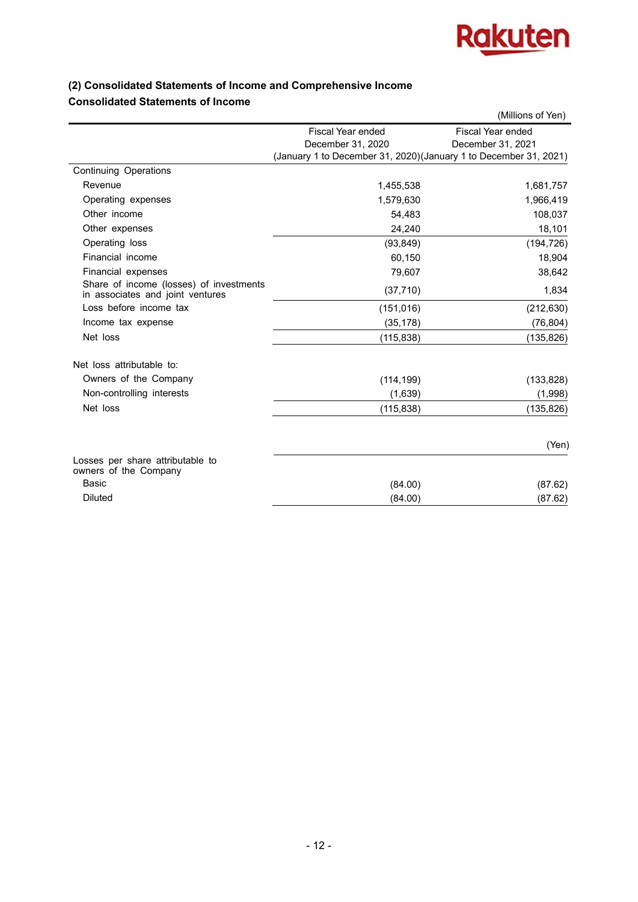

## **(2) Consolidated Statements of Income and Comprehensive Income Consolidated Statements of Income**

|                                                                             |                                                                   | (Millions of Yen)        |
|-----------------------------------------------------------------------------|-------------------------------------------------------------------|--------------------------|
|                                                                             | Fiscal Year ended                                                 | <b>Fiscal Year ended</b> |
|                                                                             | December 31, 2020                                                 | December 31, 2021        |
|                                                                             | (January 1 to December 31, 2020) (January 1 to December 31, 2021) |                          |
| <b>Continuing Operations</b>                                                |                                                                   |                          |
| Revenue                                                                     | 1,455,538                                                         | 1,681,757                |
| Operating expenses                                                          | 1,579,630                                                         | 1,966,419                |
| Other income                                                                | 54,483                                                            | 108,037                  |
| Other expenses                                                              | 24,240                                                            | 18,101                   |
| Operating loss                                                              | (93, 849)                                                         | (194, 726)               |
| Financial income                                                            | 60,150                                                            | 18,904                   |
| Financial expenses                                                          | 79,607                                                            | 38,642                   |
| Share of income (losses) of investments<br>in associates and joint ventures | (37, 710)                                                         | 1,834                    |
| Loss before income tax                                                      | (151, 016)                                                        | (212, 630)               |
| Income tax expense                                                          | (35, 178)                                                         | (76, 804)                |
| Net loss                                                                    | (115, 838)                                                        | (135, 826)               |
| Net loss attributable to:                                                   |                                                                   |                          |
| Owners of the Company                                                       | (114, 199)                                                        | (133, 828)               |
| Non-controlling interests                                                   | (1,639)                                                           | (1,998)                  |
| Net loss                                                                    | (115, 838)                                                        | (135, 826)               |
|                                                                             |                                                                   | (Yen)                    |
| Losses per share attributable to<br>owners of the Company                   |                                                                   |                          |
| Basic                                                                       | (84.00)                                                           | (87.62)                  |
| Diluted                                                                     | (84.00)                                                           | (87.62)                  |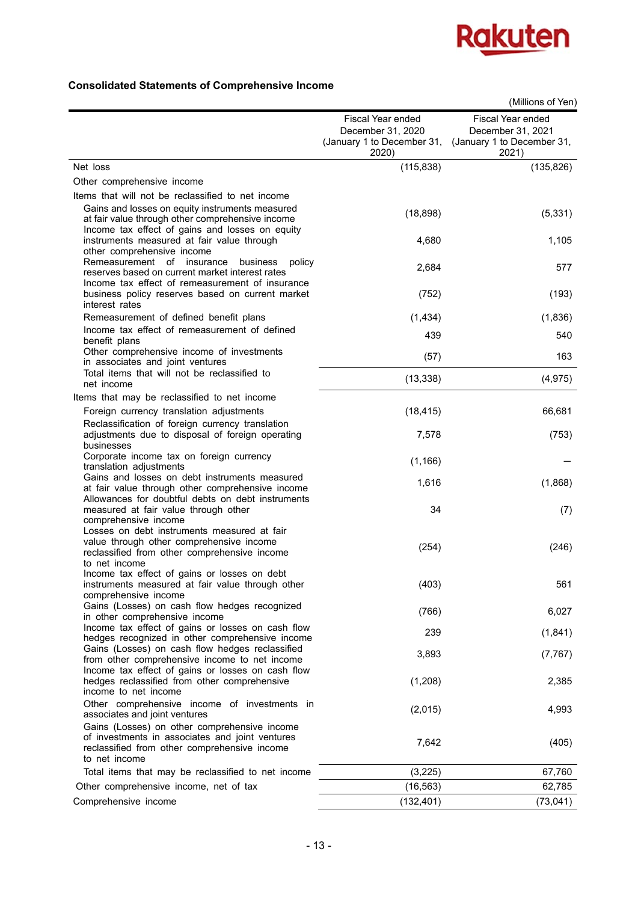

## **Consolidated Statements of Comprehensive Income**

|                                                                                                                                                                                                             |                                                                               | (Millions of Yen)                                                             |
|-------------------------------------------------------------------------------------------------------------------------------------------------------------------------------------------------------------|-------------------------------------------------------------------------------|-------------------------------------------------------------------------------|
|                                                                                                                                                                                                             | Fiscal Year ended<br>December 31, 2020<br>(January 1 to December 31,<br>2020) | Fiscal Year ended<br>December 31, 2021<br>(January 1 to December 31,<br>2021) |
| Net loss                                                                                                                                                                                                    | (115, 838)                                                                    | (135, 826)                                                                    |
| Other comprehensive income                                                                                                                                                                                  |                                                                               |                                                                               |
| Items that will not be reclassified to net income<br>Gains and losses on equity instruments measured<br>at fair value through other comprehensive income<br>Income tax effect of gains and losses on equity | (18, 898)                                                                     | (5, 331)                                                                      |
| instruments measured at fair value through<br>other comprehensive income<br>Remeasurement of insurance<br>business<br>policy                                                                                | 4,680                                                                         | 1,105                                                                         |
| reserves based on current market interest rates<br>Income tax effect of remeasurement of insurance<br>business policy reserves based on current market<br>interest rates                                    | 2,684<br>(752)                                                                | 577<br>(193)                                                                  |
| Remeasurement of defined benefit plans                                                                                                                                                                      | (1, 434)                                                                      | (1,836)                                                                       |
| Income tax effect of remeasurement of defined<br>benefit plans                                                                                                                                              | 439                                                                           | 540                                                                           |
| Other comprehensive income of investments<br>in associates and joint ventures                                                                                                                               | (57)                                                                          | 163                                                                           |
| Total items that will not be reclassified to<br>net income                                                                                                                                                  | (13, 338)                                                                     | (4, 975)                                                                      |
| Items that may be reclassified to net income<br>Foreign currency translation adjustments                                                                                                                    | (18, 415)                                                                     | 66,681                                                                        |
| Reclassification of foreign currency translation<br>adjustments due to disposal of foreign operating                                                                                                        | 7,578                                                                         | (753)                                                                         |
| businesses<br>Corporate income tax on foreign currency                                                                                                                                                      | (1, 166)                                                                      |                                                                               |
| translation adjustments<br>Gains and losses on debt instruments measured<br>at fair value through other comprehensive income                                                                                | 1,616                                                                         | (1,868)                                                                       |
| Allowances for doubtful debts on debt instruments<br>measured at fair value through other                                                                                                                   | 34                                                                            | (7)                                                                           |
| comprehensive income<br>Losses on debt instruments measured at fair<br>value through other comprehensive income<br>reclassified from other comprehensive income<br>to net income                            | (254)                                                                         | (246)                                                                         |
| Income tax effect of gains or losses on debt<br>instruments measured at fair value through other<br>comprehensive income                                                                                    | (403)                                                                         | 561                                                                           |
| Gains (Losses) on cash flow hedges recognized<br>in other comprehensive income                                                                                                                              | (766)                                                                         | 6,027                                                                         |
| Income tax effect of gains or losses on cash flow<br>hedges recognized in other comprehensive income                                                                                                        | 239                                                                           | (1,841)                                                                       |
| Gains (Losses) on cash flow hedges reclassified<br>from other comprehensive income to net income                                                                                                            | 3,893                                                                         | (7, 767)                                                                      |
| Income tax effect of gains or losses on cash flow<br>hedges reclassified from other comprehensive<br>income to net income                                                                                   | (1,208)                                                                       | 2,385                                                                         |
| Other comprehensive income of investments in<br>associates and joint ventures                                                                                                                               | (2,015)                                                                       | 4,993                                                                         |
| Gains (Losses) on other comprehensive income<br>of investments in associates and joint ventures<br>reclassified from other comprehensive income<br>to net income                                            | 7,642                                                                         | (405)                                                                         |
| Total items that may be reclassified to net income                                                                                                                                                          | (3,225)                                                                       | 67,760                                                                        |
| Other comprehensive income, net of tax                                                                                                                                                                      | (16, 563)                                                                     | 62,785                                                                        |
| Comprehensive income                                                                                                                                                                                        | (132, 401)                                                                    | (73,041)                                                                      |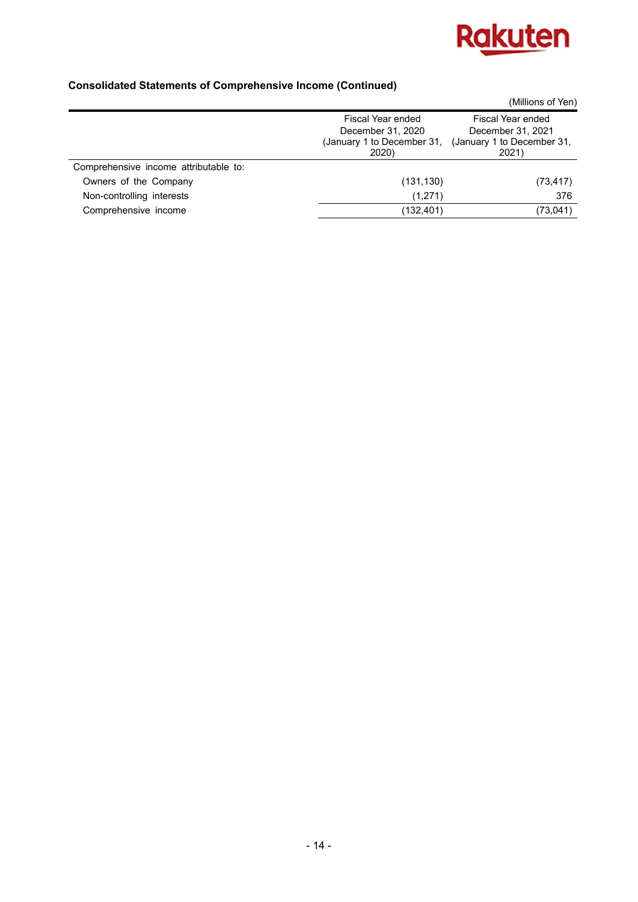

## **Consolidated Statements of Comprehensive Income (Continued)**

|                                       |                                     | (Millions of Yen)                   |
|---------------------------------------|-------------------------------------|-------------------------------------|
|                                       | Fiscal Year ended                   | Fiscal Year ended                   |
|                                       | December 31, 2020                   | December 31, 2021                   |
|                                       | (January 1 to December 31,<br>2020) | (January 1 to December 31,<br>2021) |
| Comprehensive income attributable to: |                                     |                                     |
| Owners of the Company                 | (131, 130)                          | (73, 417)                           |
| Non-controlling interests             | (1,271)                             | 376                                 |
| Comprehensive income                  | (132, 401)                          | (73, 041)                           |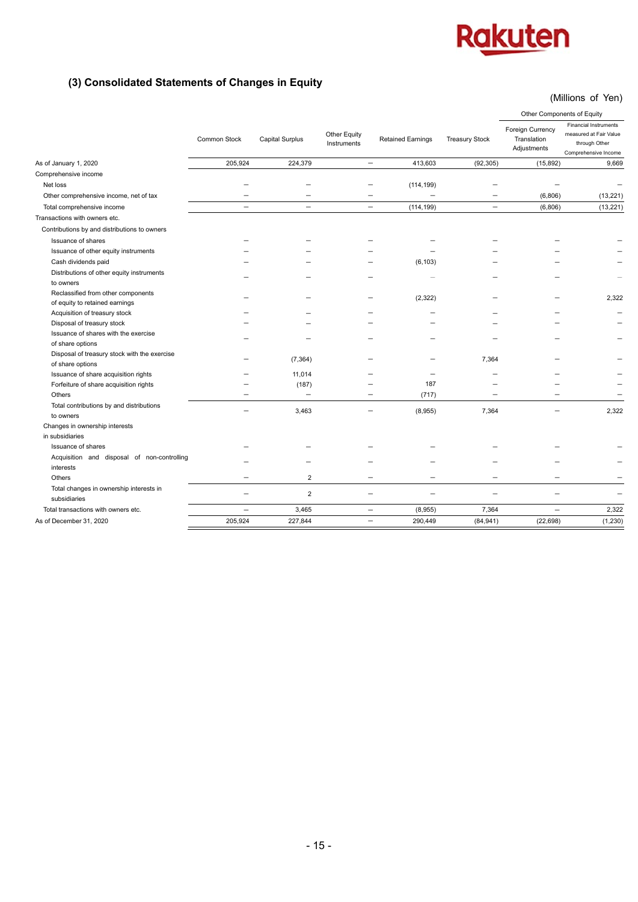## **(3) Consolidated Statements of Changes in Equity**

## (Millions of Yen)

|                                                                  |                          |                          |                                                         |                          | Other Components of Equity |                                                |                                                                                                 |
|------------------------------------------------------------------|--------------------------|--------------------------|---------------------------------------------------------|--------------------------|----------------------------|------------------------------------------------|-------------------------------------------------------------------------------------------------|
|                                                                  | Common Stock             | <b>Capital Surplus</b>   | Other Equity<br><b>Retained Earnings</b><br>Instruments |                          | <b>Treasury Stock</b>      | Foreign Currency<br>Translation<br>Adjustments | <b>Financial Instruments</b><br>measured at Fair Value<br>through Other<br>Comprehensive Income |
| As of January 1, 2020                                            | 205,924                  | 224,379                  | $\overline{\phantom{m}}$                                | 413,603                  | (92, 305)                  | (15, 892)                                      | 9,669                                                                                           |
| Comprehensive income                                             |                          |                          |                                                         |                          |                            |                                                |                                                                                                 |
| Net loss                                                         |                          |                          |                                                         | (114, 199)               |                            |                                                |                                                                                                 |
| Other comprehensive income, net of tax                           |                          |                          |                                                         |                          |                            | (6,806)                                        | (13, 221)                                                                                       |
| Total comprehensive income                                       | $\overline{\phantom{0}}$ | $\overline{\phantom{0}}$ |                                                         | (114, 199)               | $\overline{\phantom{0}}$   | (6,806)                                        | (13, 221)                                                                                       |
| Transactions with owners etc.                                    |                          |                          |                                                         |                          |                            |                                                |                                                                                                 |
| Contributions by and distributions to owners                     |                          |                          |                                                         |                          |                            |                                                |                                                                                                 |
| Issuance of shares                                               |                          |                          |                                                         |                          |                            |                                                |                                                                                                 |
| Issuance of other equity instruments                             |                          |                          |                                                         |                          |                            |                                                |                                                                                                 |
| Cash dividends paid                                              |                          |                          |                                                         | (6, 103)                 |                            |                                                |                                                                                                 |
| Distributions of other equity instruments<br>to owners           |                          |                          |                                                         |                          |                            |                                                |                                                                                                 |
| Reclassified from other components                               |                          |                          |                                                         |                          |                            |                                                |                                                                                                 |
| of equity to retained earnings                                   |                          |                          |                                                         | (2, 322)                 |                            |                                                | 2,322                                                                                           |
| Acquisition of treasury stock                                    |                          |                          |                                                         |                          |                            |                                                |                                                                                                 |
| Disposal of treasury stock                                       |                          |                          |                                                         |                          |                            |                                                |                                                                                                 |
| Issuance of shares with the exercise                             |                          |                          |                                                         |                          |                            |                                                |                                                                                                 |
| of share options                                                 |                          |                          |                                                         |                          |                            |                                                |                                                                                                 |
| Disposal of treasury stock with the exercise<br>of share options |                          | (7, 364)                 |                                                         |                          | 7,364                      |                                                |                                                                                                 |
| Issuance of share acquisition rights                             |                          | 11,014                   |                                                         | $\overline{\phantom{0}}$ |                            |                                                |                                                                                                 |
| Forfeiture of share acquisition rights                           |                          | (187)                    |                                                         | 187                      |                            |                                                |                                                                                                 |
| Others                                                           |                          | $\overline{\phantom{0}}$ |                                                         | (717)                    |                            |                                                |                                                                                                 |
| Total contributions by and distributions                         |                          |                          |                                                         |                          |                            |                                                |                                                                                                 |
| to owners                                                        |                          | 3,463                    |                                                         | (8,955)                  | 7,364                      |                                                | 2,322                                                                                           |
| Changes in ownership interests                                   |                          |                          |                                                         |                          |                            |                                                |                                                                                                 |
| in subsidiaries                                                  |                          |                          |                                                         |                          |                            |                                                |                                                                                                 |
| Issuance of shares                                               |                          |                          |                                                         |                          |                            |                                                |                                                                                                 |
| Acquisition and disposal of non-controlling<br>interests         |                          |                          |                                                         |                          |                            |                                                |                                                                                                 |
| Others                                                           |                          | $\overline{2}$           |                                                         |                          |                            |                                                |                                                                                                 |
| Total changes in ownership interests in                          |                          |                          |                                                         |                          |                            |                                                |                                                                                                 |
| subsidiaries                                                     |                          | $\overline{2}$           |                                                         |                          |                            |                                                |                                                                                                 |
| Total transactions with owners etc.                              | $\qquad \qquad -$        | 3,465                    | $\overline{\phantom{0}}$                                | (8,955)                  | 7,364                      | $\overline{\phantom{0}}$                       | 2,322                                                                                           |
| As of December 31, 2020                                          | 205,924                  | 227,844                  | $\overline{\phantom{0}}$                                | 290,449                  | (84, 941)                  | (22, 698)                                      | (1, 230)                                                                                        |
|                                                                  |                          |                          |                                                         |                          |                            |                                                |                                                                                                 |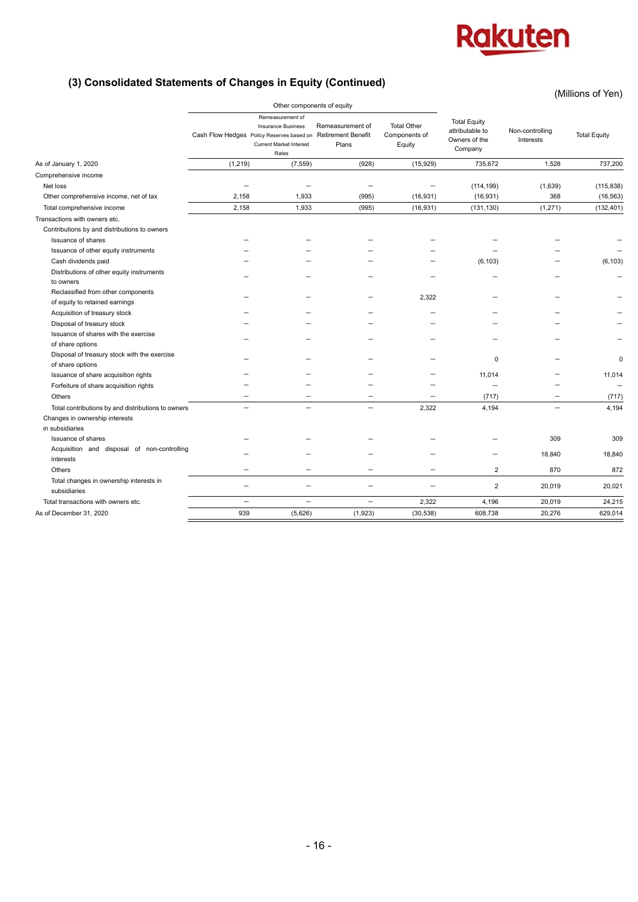(Millions of Yen)

## **(3) Consolidated Statements of Changes in Equity (Continued)**

|                                                                      |                            |                                                                                                                                       |                                                        |                                               | ווטו וט טווטווויוויון (                                            |                              |                     |
|----------------------------------------------------------------------|----------------------------|---------------------------------------------------------------------------------------------------------------------------------------|--------------------------------------------------------|-----------------------------------------------|--------------------------------------------------------------------|------------------------------|---------------------|
|                                                                      | Other components of equity |                                                                                                                                       |                                                        |                                               |                                                                    |                              |                     |
|                                                                      |                            | Remeasurement of<br><b>Insurance Business</b><br>Cash Flow Hedges Policy Reserves based on<br><b>Current Market Interest</b><br>Rates | Remeasurement of<br><b>Retirement Benefit</b><br>Plans | <b>Total Other</b><br>Components of<br>Equity | <b>Total Equity</b><br>attributable to<br>Owners of the<br>Company | Non-controlling<br>Interests | <b>Total Equity</b> |
| As of January 1, 2020                                                | (1, 219)                   | (7, 559)                                                                                                                              | (928)                                                  | (15, 929)                                     | 735.672                                                            | 1,528                        | 737,200             |
| Comprehensive income                                                 |                            |                                                                                                                                       |                                                        |                                               |                                                                    |                              |                     |
| Net loss                                                             |                            |                                                                                                                                       | $\overline{\phantom{0}}$                               | $\overline{\phantom{0}}$                      | (114, 199)                                                         | (1,639)                      | (115, 838)          |
| Other comprehensive income, net of tax                               | 2,158                      | 1,933                                                                                                                                 | (995)                                                  | (16, 931)                                     | (16, 931)                                                          | 368                          | (16, 563)           |
| Total comprehensive income                                           | 2,158                      | 1,933                                                                                                                                 | (995)                                                  | (16, 931)                                     | (131, 130)                                                         | (1, 271)                     | (132, 401)          |
| Transactions with owners etc.                                        |                            |                                                                                                                                       |                                                        |                                               |                                                                    |                              |                     |
| Contributions by and distributions to owners                         |                            |                                                                                                                                       |                                                        |                                               |                                                                    |                              |                     |
| Issuance of shares                                                   |                            |                                                                                                                                       |                                                        |                                               |                                                                    |                              |                     |
| Issuance of other equity instruments                                 |                            |                                                                                                                                       |                                                        |                                               |                                                                    |                              |                     |
| Cash dividends paid                                                  |                            |                                                                                                                                       |                                                        |                                               | (6, 103)                                                           |                              | (6, 103)            |
| Distributions of other equity instruments<br>to owners               |                            |                                                                                                                                       |                                                        |                                               |                                                                    |                              |                     |
| Reclassified from other components<br>of equity to retained earnings |                            |                                                                                                                                       |                                                        | 2,322                                         |                                                                    |                              |                     |
| Acquisition of treasury stock                                        |                            |                                                                                                                                       |                                                        |                                               |                                                                    |                              |                     |
| Disposal of treasury stock                                           |                            |                                                                                                                                       |                                                        |                                               |                                                                    |                              |                     |
| Issuance of shares with the exercise<br>of share options             |                            |                                                                                                                                       |                                                        |                                               |                                                                    |                              |                     |
| Disposal of treasury stock with the exercise<br>of share options     |                            |                                                                                                                                       |                                                        |                                               | 0                                                                  |                              | $\mathbf 0$         |
| Issuance of share acquisition rights                                 |                            |                                                                                                                                       |                                                        |                                               | 11,014                                                             |                              | 11,014              |
| Forfeiture of share acquisition rights                               |                            |                                                                                                                                       |                                                        |                                               | $\overline{\phantom{0}}$                                           |                              |                     |
| Others                                                               |                            |                                                                                                                                       |                                                        |                                               | (717)                                                              |                              | (717)               |
| Total contributions by and distributions to owners                   |                            |                                                                                                                                       | $\overline{\phantom{0}}$                               | 2,322                                         | 4,194                                                              |                              | 4,194               |
| Changes in ownership interests                                       |                            |                                                                                                                                       |                                                        |                                               |                                                                    |                              |                     |
| in subsidiaries                                                      |                            |                                                                                                                                       |                                                        |                                               |                                                                    |                              |                     |
| Issuance of shares                                                   |                            |                                                                                                                                       |                                                        |                                               |                                                                    | 309                          | 309                 |
| Acquisition and disposal of non-controlling<br>interests             |                            |                                                                                                                                       |                                                        |                                               |                                                                    | 18,840                       | 18,840              |
| Others                                                               |                            |                                                                                                                                       |                                                        | $\equiv$                                      | $\overline{2}$                                                     | 870                          | 872                 |
| Total changes in ownership interests in<br>subsidiaries              | $\overline{\phantom{0}}$   | $\overline{\phantom{0}}$                                                                                                              |                                                        | $\overline{\phantom{0}}$                      | $\overline{2}$                                                     | 20,019                       | 20,021              |
| Total transactions with owners etc.                                  | $\overline{\phantom{0}}$   | $\overline{\phantom{0}}$                                                                                                              | $\overline{\phantom{0}}$                               | 2,322                                         | 4,196                                                              | 20,019                       | 24.215              |
| As of December 31, 2020                                              | 939                        | (5,626)                                                                                                                               | (1, 923)                                               | (30, 538)                                     | 608,738                                                            | 20,276                       | 629,014             |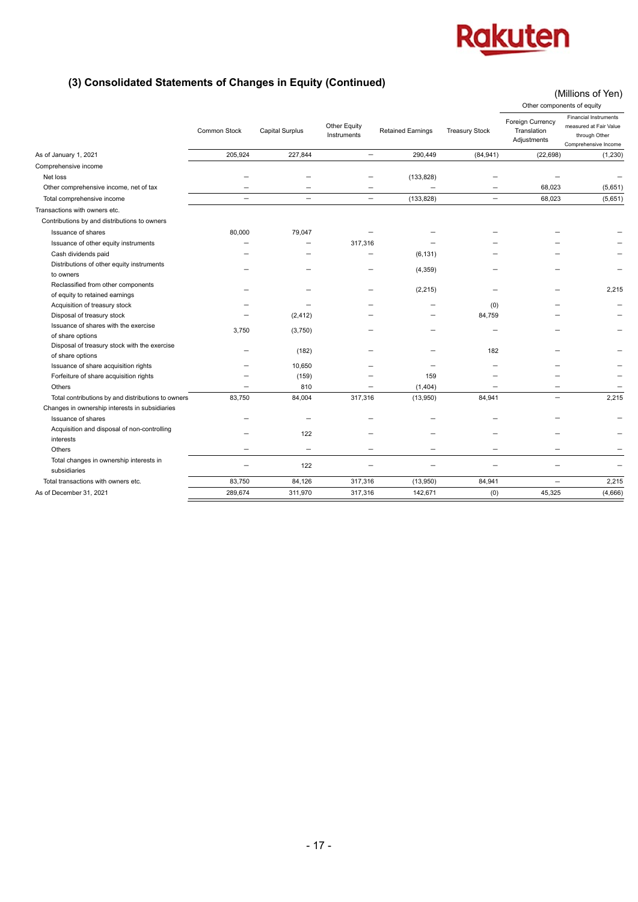(Millions of Yen)

## **(3) Consolidated Statements of Changes in Equity (Continued)**

|                                                                  |                          |                          |                             |                          | Other components of equity |                                                |                                                                                                 |
|------------------------------------------------------------------|--------------------------|--------------------------|-----------------------------|--------------------------|----------------------------|------------------------------------------------|-------------------------------------------------------------------------------------------------|
|                                                                  | Common Stock             | <b>Capital Surplus</b>   | Other Equity<br>Instruments | <b>Retained Earnings</b> | <b>Treasury Stock</b>      | Foreign Currency<br>Translation<br>Adjustments | <b>Financial Instruments</b><br>measured at Fair Value<br>through Other<br>Comprehensive Income |
| As of January 1, 2021                                            | 205,924                  | 227,844                  | $\overline{\phantom{0}}$    | 290,449                  | (84, 941)                  | (22, 698)                                      | (1, 230)                                                                                        |
| Comprehensive income                                             |                          |                          |                             |                          |                            |                                                |                                                                                                 |
| Net loss                                                         |                          |                          |                             | (133, 828)               |                            |                                                |                                                                                                 |
| Other comprehensive income, net of tax                           |                          |                          |                             | $\overline{\phantom{0}}$ |                            | 68,023                                         | (5,651)                                                                                         |
| Total comprehensive income                                       | $\overline{\phantom{0}}$ |                          | $\overline{\phantom{0}}$    | (133, 828)               | $\overline{\phantom{0}}$   | 68,023                                         | (5,651)                                                                                         |
| Transactions with owners etc.                                    |                          |                          |                             |                          |                            |                                                |                                                                                                 |
| Contributions by and distributions to owners                     |                          |                          |                             |                          |                            |                                                |                                                                                                 |
| Issuance of shares                                               | 80.000                   | 79,047                   |                             |                          |                            |                                                |                                                                                                 |
| Issuance of other equity instruments                             |                          |                          | 317,316                     |                          |                            |                                                |                                                                                                 |
| Cash dividends paid                                              |                          |                          |                             | (6, 131)                 |                            |                                                |                                                                                                 |
| Distributions of other equity instruments                        |                          |                          |                             |                          |                            |                                                |                                                                                                 |
| to owners                                                        |                          |                          |                             | (4, 359)                 |                            |                                                |                                                                                                 |
| Reclassified from other components                               |                          |                          |                             | (2, 215)                 |                            |                                                | 2.215                                                                                           |
| of equity to retained earnings                                   |                          |                          |                             |                          |                            |                                                |                                                                                                 |
| Acquisition of treasury stock                                    |                          |                          |                             |                          | (0)                        |                                                |                                                                                                 |
| Disposal of treasury stock                                       |                          | (2, 412)                 |                             |                          | 84,759                     |                                                |                                                                                                 |
| Issuance of shares with the exercise<br>of share options         | 3,750                    | (3,750)                  |                             |                          |                            |                                                |                                                                                                 |
| Disposal of treasury stock with the exercise<br>of share options |                          | (182)                    |                             |                          | 182                        |                                                |                                                                                                 |
| Issuance of share acquisition rights                             |                          | 10,650                   |                             |                          |                            |                                                |                                                                                                 |
| Forfeiture of share acquisition rights                           |                          | (159)                    |                             | 159                      |                            |                                                |                                                                                                 |
| Others                                                           |                          | 810                      |                             | (1, 404)                 |                            |                                                |                                                                                                 |
| Total contributions by and distributions to owners               | 83,750                   | 84,004                   | 317,316                     | (13,950)                 | 84,941                     | $\overline{\phantom{0}}$                       | 2,215                                                                                           |
| Changes in ownership interests in subsidiaries                   |                          |                          |                             |                          |                            |                                                |                                                                                                 |
| Issuance of shares                                               |                          |                          |                             |                          |                            |                                                |                                                                                                 |
| Acquisition and disposal of non-controlling                      |                          | 122                      |                             |                          |                            |                                                |                                                                                                 |
| interests<br>Others                                              | $\overline{\phantom{0}}$ | $\overline{\phantom{0}}$ |                             |                          |                            |                                                |                                                                                                 |
| Total changes in ownership interests in<br>subsidiaries          | $\overline{\phantom{0}}$ | 122                      | $\overline{\phantom{0}}$    | $\overline{\phantom{0}}$ |                            |                                                |                                                                                                 |
| Total transactions with owners etc.                              | 83,750                   | 84,126                   | 317,316                     | (13,950)                 | 84,941                     | $\overline{\phantom{0}}$                       | 2,215                                                                                           |
| As of December 31, 2021                                          | 289.674                  | 311.970                  | 317.316                     | 142.671                  | (0)                        | 45.325                                         | (4,666)                                                                                         |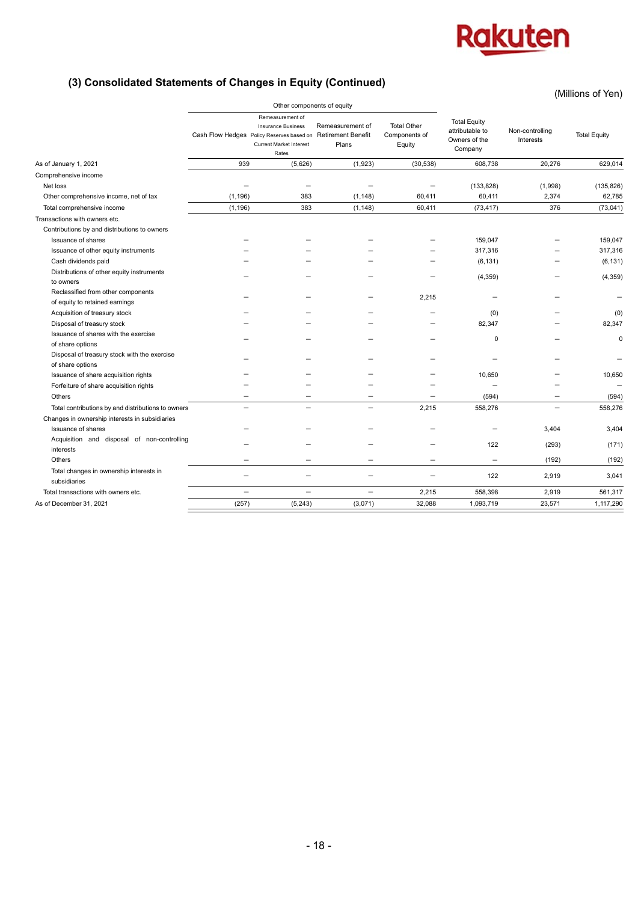(Millions of Yen)

## **(3) Consolidated Statements of Changes in Equity (Continued)**

|                                                                      |                            |                                                                                                                                       |                                                        |                                               | ווטו וט טווטווויוויון (                                            |                              |                     |
|----------------------------------------------------------------------|----------------------------|---------------------------------------------------------------------------------------------------------------------------------------|--------------------------------------------------------|-----------------------------------------------|--------------------------------------------------------------------|------------------------------|---------------------|
|                                                                      | Other components of equity |                                                                                                                                       |                                                        |                                               |                                                                    |                              |                     |
|                                                                      |                            | Remeasurement of<br><b>Insurance Business</b><br>Cash Flow Hedges Policy Reserves based on<br><b>Current Market Interest</b><br>Rates | Remeasurement of<br><b>Retirement Benefit</b><br>Plans | <b>Total Other</b><br>Components of<br>Equity | <b>Total Equity</b><br>attributable to<br>Owners of the<br>Company | Non-controlling<br>Interests | <b>Total Equity</b> |
| As of January 1, 2021                                                | 939                        | (5,626)                                                                                                                               | (1,923)                                                | (30, 538)                                     | 608,738                                                            | 20,276                       | 629,014             |
| Comprehensive income                                                 |                            |                                                                                                                                       |                                                        |                                               |                                                                    |                              |                     |
| Net loss                                                             |                            |                                                                                                                                       |                                                        |                                               | (133, 828)                                                         | (1,998)                      | (135, 826)          |
| Other comprehensive income, net of tax                               | (1, 196)                   | 383                                                                                                                                   | (1, 148)                                               | 60,411                                        | 60,411                                                             | 2,374                        | 62,785              |
| Total comprehensive income                                           | (1, 196)                   | 383                                                                                                                                   | (1, 148)                                               | 60,411                                        | (73, 417)                                                          | 376                          | (73, 041)           |
| Transactions with owners etc.                                        |                            |                                                                                                                                       |                                                        |                                               |                                                                    |                              |                     |
| Contributions by and distributions to owners                         |                            |                                                                                                                                       |                                                        |                                               |                                                                    |                              |                     |
| Issuance of shares                                                   |                            |                                                                                                                                       |                                                        |                                               | 159,047                                                            |                              | 159,047             |
| Issuance of other equity instruments                                 |                            |                                                                                                                                       |                                                        |                                               | 317,316                                                            |                              | 317,316             |
| Cash dividends paid                                                  |                            |                                                                                                                                       |                                                        |                                               | (6, 131)                                                           |                              | (6, 131)            |
| Distributions of other equity instruments<br>to owners               |                            |                                                                                                                                       |                                                        |                                               | (4, 359)                                                           |                              | (4, 359)            |
| Reclassified from other components<br>of equity to retained earnings |                            |                                                                                                                                       |                                                        | 2.215                                         |                                                                    |                              |                     |
| Acquisition of treasury stock                                        |                            |                                                                                                                                       |                                                        |                                               | (0)                                                                |                              | (0)                 |
| Disposal of treasury stock                                           |                            |                                                                                                                                       |                                                        |                                               | 82,347                                                             |                              | 82,347              |
| Issuance of shares with the exercise<br>of share options             |                            |                                                                                                                                       |                                                        |                                               | 0                                                                  |                              | 0                   |
| Disposal of treasury stock with the exercise<br>of share options     |                            |                                                                                                                                       |                                                        |                                               |                                                                    |                              |                     |
| Issuance of share acquisition rights                                 |                            |                                                                                                                                       |                                                        |                                               | 10,650                                                             |                              | 10,650              |
| Forfeiture of share acquisition rights                               |                            |                                                                                                                                       |                                                        |                                               |                                                                    |                              |                     |
| Others                                                               |                            | $\overline{\phantom{0}}$                                                                                                              | $\overline{\phantom{0}}$                               |                                               | (594)                                                              |                              | (594)               |
| Total contributions by and distributions to owners                   | $\overline{\phantom{0}}$   | $\overline{\phantom{0}}$                                                                                                              | $\overline{\phantom{0}}$                               | 2,215                                         | 558,276                                                            | $\overline{\phantom{0}}$     | 558,276             |
| Changes in ownership interests in subsidiaries                       |                            |                                                                                                                                       |                                                        |                                               |                                                                    |                              |                     |
| Issuance of shares                                                   |                            |                                                                                                                                       |                                                        |                                               |                                                                    | 3,404                        | 3,404               |
| Acquisition and disposal of non-controlling<br>interests             |                            |                                                                                                                                       |                                                        |                                               | 122                                                                | (293)                        | (171)               |
| Others                                                               |                            |                                                                                                                                       |                                                        | $\overline{\phantom{0}}$                      |                                                                    | (192)                        | (192)               |
| Total changes in ownership interests in<br>subsidiaries              |                            | $\overline{\phantom{0}}$                                                                                                              | $\overline{\phantom{0}}$                               | $\equiv$                                      | 122                                                                | 2,919                        | 3,041               |
| Total transactions with owners etc.                                  |                            | $\overline{\phantom{0}}$                                                                                                              | -                                                      | 2,215                                         | 558.398                                                            | 2,919                        | 561,317             |
| As of December 31, 2021                                              | (257)                      | (5, 243)                                                                                                                              | (3,071)                                                | 32,088                                        | 1,093,719                                                          | 23,571                       | 1,117,290           |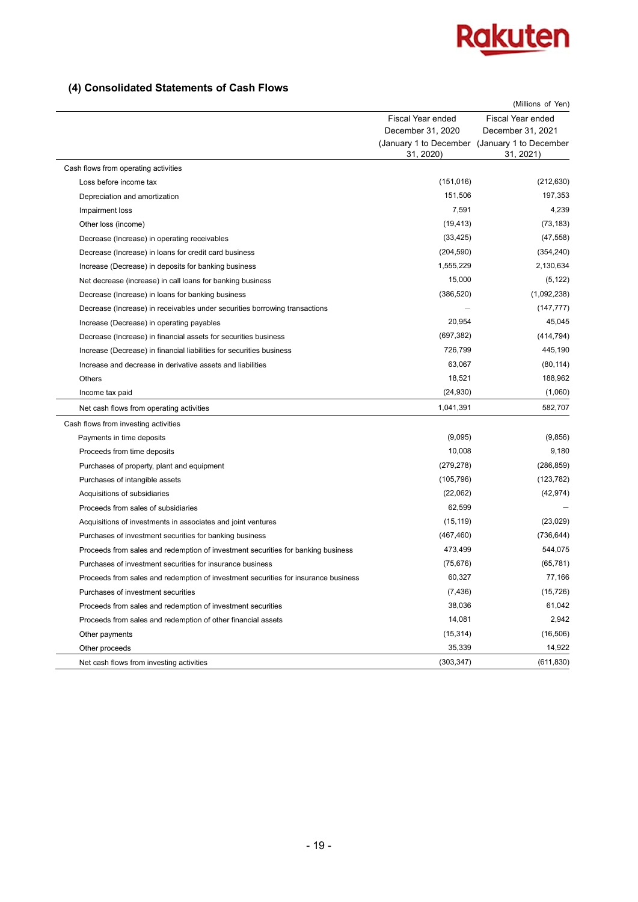

## **(4) Consolidated Statements of Cash Flows**

|                                                                                    |                   | (Millions of Yen)                                          |
|------------------------------------------------------------------------------------|-------------------|------------------------------------------------------------|
|                                                                                    | Fiscal Year ended | <b>Fiscal Year ended</b>                                   |
|                                                                                    | December 31, 2020 | December 31, 2021                                          |
|                                                                                    | 31, 2020)         | (January 1 to December (January 1 to December<br>31, 2021) |
| Cash flows from operating activities                                               |                   |                                                            |
| Loss before income tax                                                             | (151, 016)        | (212, 630)                                                 |
| Depreciation and amortization                                                      | 151,506           | 197,353                                                    |
| Impairment loss                                                                    | 7,591             | 4,239                                                      |
| Other loss (income)                                                                | (19, 413)         | (73, 183)                                                  |
| Decrease (Increase) in operating receivables                                       | (33, 425)         | (47, 558)                                                  |
| Decrease (Increase) in loans for credit card business                              | (204, 590)        | (354, 240)                                                 |
| Increase (Decrease) in deposits for banking business                               | 1,555,229         | 2,130,634                                                  |
| Net decrease (increase) in call loans for banking business                         | 15,000            | (5, 122)                                                   |
| Decrease (Increase) in loans for banking business                                  | (386, 520)        | (1,092,238)                                                |
| Decrease (Increase) in receivables under securities borrowing transactions         |                   | (147, 777)                                                 |
| Increase (Decrease) in operating payables                                          | 20,954            | 45,045                                                     |
| Decrease (Increase) in financial assets for securities business                    | (697, 382)        | (414, 794)                                                 |
| Increase (Decrease) in financial liabilities for securities business               | 726,799           | 445,190                                                    |
| Increase and decrease in derivative assets and liabilities                         | 63,067            | (80, 114)                                                  |
| Others                                                                             | 18,521            | 188,962                                                    |
| Income tax paid                                                                    | (24, 930)         | (1,060)                                                    |
| Net cash flows from operating activities                                           | 1,041,391         | 582,707                                                    |
| Cash flows from investing activities                                               |                   |                                                            |
| Payments in time deposits                                                          | (9,095)           | (9,856)                                                    |
| Proceeds from time deposits                                                        | 10,008            | 9,180                                                      |
| Purchases of property, plant and equipment                                         | (279, 278)        | (286, 859)                                                 |
| Purchases of intangible assets                                                     | (105, 796)        | (123, 782)                                                 |
| Acquisitions of subsidiaries                                                       | (22,062)          | (42, 974)                                                  |
| Proceeds from sales of subsidiaries                                                | 62,599            |                                                            |
| Acquisitions of investments in associates and joint ventures                       | (15, 119)         | (23,029)                                                   |
| Purchases of investment securities for banking business                            | (467, 460)        | (736, 644)                                                 |
| Proceeds from sales and redemption of investment securities for banking business   | 473,499           | 544,075                                                    |
| Purchases of investment securities for insurance business                          | (75, 676)         | (65, 781)                                                  |
| Proceeds from sales and redemption of investment securities for insurance business | 60,327            | 77,166                                                     |
| Purchases of investment securities                                                 | (7, 436)          | (15, 726)                                                  |
| Proceeds from sales and redemption of investment securities                        | 38,036            | 61,042                                                     |
| Proceeds from sales and redemption of other financial assets                       | 14,081            | 2,942                                                      |
| Other payments                                                                     | (15, 314)         | (16, 506)                                                  |
| Other proceeds                                                                     | 35,339            | 14,922                                                     |
| Net cash flows from investing activities                                           | (303, 347)        | (611, 830)                                                 |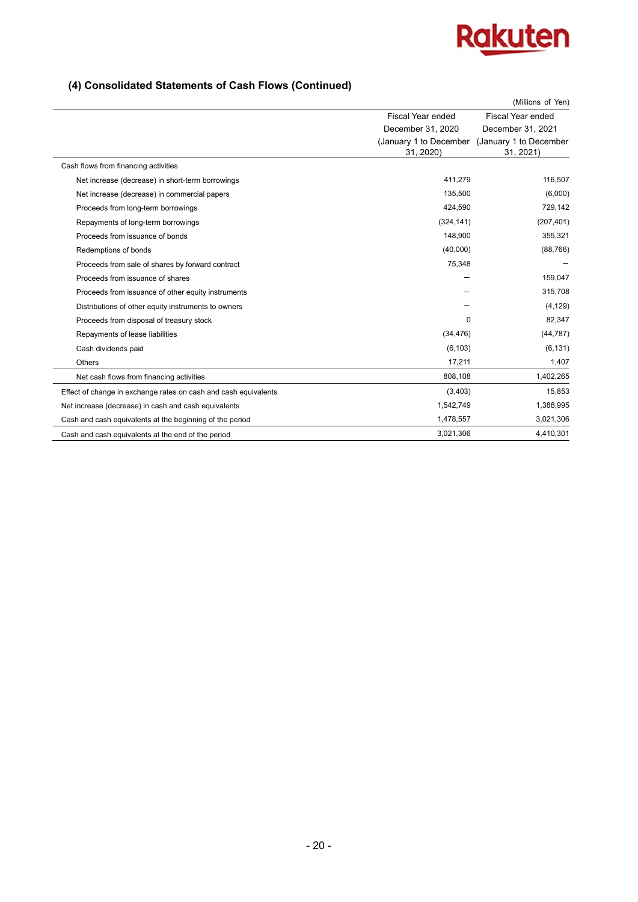

## **(4) Consolidated Statements of Cash Flows (Continued)**

|                                                                 |                   | (Millions of Yen)                                          |
|-----------------------------------------------------------------|-------------------|------------------------------------------------------------|
|                                                                 | Fiscal Year ended | Fiscal Year ended                                          |
|                                                                 | December 31, 2020 | December 31, 2021                                          |
|                                                                 | 31, 2020)         | (January 1 to December (January 1 to December<br>31, 2021) |
| Cash flows from financing activities                            |                   |                                                            |
| Net increase (decrease) in short-term borrowings                | 411,279           | 116,507                                                    |
| Net increase (decrease) in commercial papers                    | 135,500           | (6,000)                                                    |
| Proceeds from long-term borrowings                              | 424,590           | 729,142                                                    |
| Repayments of long-term borrowings                              | (324, 141)        | (207, 401)                                                 |
| Proceeds from issuance of bonds                                 | 148,900           | 355,321                                                    |
| Redemptions of bonds                                            | (40,000)          | (88, 766)                                                  |
| Proceeds from sale of shares by forward contract                | 75,348            |                                                            |
| Proceeds from issuance of shares                                |                   | 159,047                                                    |
| Proceeds from issuance of other equity instruments              |                   | 315,708                                                    |
| Distributions of other equity instruments to owners             |                   | (4, 129)                                                   |
| Proceeds from disposal of treasury stock                        | 0                 | 82,347                                                     |
| Repayments of lease liabilities                                 | (34, 476)         | (44, 787)                                                  |
| Cash dividends paid                                             | (6, 103)          | (6, 131)                                                   |
| Others                                                          | 17,211            | 1,407                                                      |
| Net cash flows from financing activities                        | 808,108           | 1,402,265                                                  |
| Effect of change in exchange rates on cash and cash equivalents | (3,403)           | 15,853                                                     |
| Net increase (decrease) in cash and cash equivalents            | 1,542,749         | 1,388,995                                                  |
| Cash and cash equivalents at the beginning of the period        | 1,478,557         | 3,021,306                                                  |
| Cash and cash equivalents at the end of the period              | 3,021,306         | 4,410,301                                                  |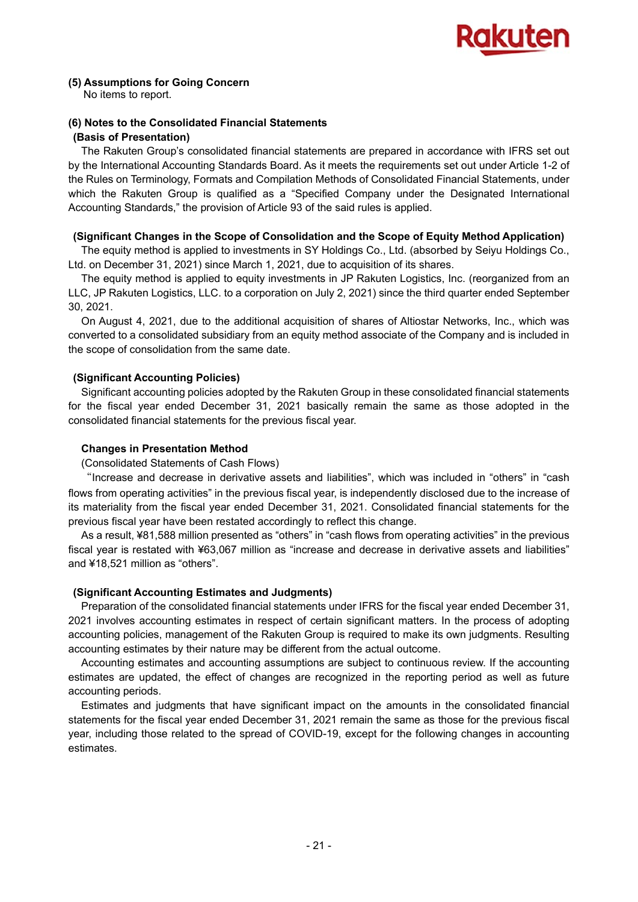

## **(5) Assumptions for Going Concern**

No items to report.

## **(6) Notes to the Consolidated Financial Statements (Basis of Presentation)**

The Rakuten Group's consolidated financial statements are prepared in accordance with IFRS set out by the International Accounting Standards Board. As it meets the requirements set out under Article 1-2 of the Rules on Terminology, Formats and Compilation Methods of Consolidated Financial Statements, under which the Rakuten Group is qualified as a "Specified Company under the Designated International Accounting Standards," the provision of Article 93 of the said rules is applied.

## **(Significant Changes in the Scope of Consolidation and the Scope of Equity Method Application)**

The equity method is applied to investments in SY Holdings Co., Ltd. (absorbed by Seiyu Holdings Co., Ltd. on December 31, 2021) since March 1, 2021, due to acquisition of its shares.

The equity method is applied to equity investments in JP Rakuten Logistics, Inc. (reorganized from an LLC, JP Rakuten Logistics, LLC. to a corporation on July 2, 2021) since the third quarter ended September 30, 2021.

On August 4, 2021, due to the additional acquisition of shares of Altiostar Networks, Inc., which was converted to a consolidated subsidiary from an equity method associate of the Company and is included in the scope of consolidation from the same date.

## **(Significant Accounting Policies)**

Significant accounting policies adopted by the Rakuten Group in these consolidated financial statements for the fiscal year ended December 31, 2021 basically remain the same as those adopted in the consolidated financial statements for the previous fiscal year.

## **Changes in Presentation Method**

## (Consolidated Statements of Cash Flows)

"Increase and decrease in derivative assets and liabilities", which was included in "others" in "cash flows from operating activities" in the previous fiscal year, is independently disclosed due to the increase of its materiality from the fiscal year ended December 31, 2021. Consolidated financial statements for the previous fiscal year have been restated accordingly to reflect this change.

As a result, ¥81,588 million presented as "others" in "cash flows from operating activities" in the previous fiscal year is restated with ¥63,067 million as "increase and decrease in derivative assets and liabilities" and ¥18,521 million as "others".

## **(Significant Accounting Estimates and Judgments)**

Preparation of the consolidated financial statements under IFRS for the fiscal year ended December 31, 2021 involves accounting estimates in respect of certain significant matters. In the process of adopting accounting policies, management of the Rakuten Group is required to make its own judgments. Resulting accounting estimates by their nature may be different from the actual outcome.

Accounting estimates and accounting assumptions are subject to continuous review. If the accounting estimates are updated, the effect of changes are recognized in the reporting period as well as future accounting periods.

Estimates and judgments that have significant impact on the amounts in the consolidated financial statements for the fiscal year ended December 31, 2021 remain the same as those for the previous fiscal year, including those related to the spread of COVID-19, except for the following changes in accounting estimates.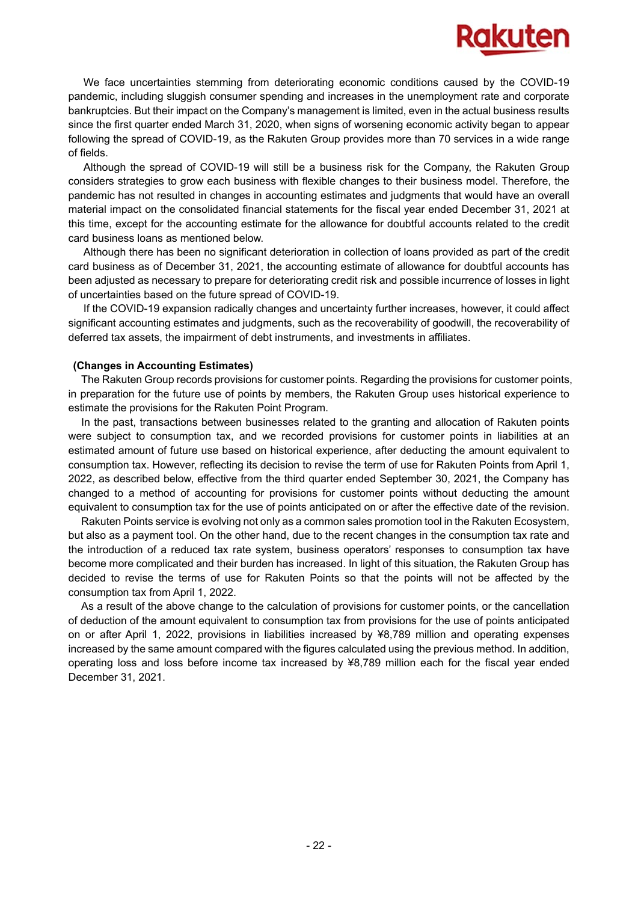

We face uncertainties stemming from deteriorating economic conditions caused by the COVID-19 pandemic, including sluggish consumer spending and increases in the unemployment rate and corporate bankruptcies. But their impact on the Company's management is limited, even in the actual business results since the first quarter ended March 31, 2020, when signs of worsening economic activity began to appear following the spread of COVID-19, as the Rakuten Group provides more than 70 services in a wide range of fields.

Although the spread of COVID-19 will still be a business risk for the Company, the Rakuten Group considers strategies to grow each business with flexible changes to their business model. Therefore, the pandemic has not resulted in changes in accounting estimates and judgments that would have an overall material impact on the consolidated financial statements for the fiscal year ended December 31, 2021 at this time, except for the accounting estimate for the allowance for doubtful accounts related to the credit card business loans as mentioned below.

Although there has been no significant deterioration in collection of loans provided as part of the credit card business as of December 31, 2021, the accounting estimate of allowance for doubtful accounts has been adjusted as necessary to prepare for deteriorating credit risk and possible incurrence of losses in light of uncertainties based on the future spread of COVID-19.

If the COVID-19 expansion radically changes and uncertainty further increases, however, it could affect significant accounting estimates and judgments, such as the recoverability of goodwill, the recoverability of deferred tax assets, the impairment of debt instruments, and investments in affiliates.

#### **(Changes in Accounting Estimates)**

The Rakuten Group records provisions for customer points. Regarding the provisions for customer points, in preparation for the future use of points by members, the Rakuten Group uses historical experience to estimate the provisions for the Rakuten Point Program.

In the past, transactions between businesses related to the granting and allocation of Rakuten points were subject to consumption tax, and we recorded provisions for customer points in liabilities at an estimated amount of future use based on historical experience, after deducting the amount equivalent to consumption tax. However, reflecting its decision to revise the term of use for Rakuten Points from April 1, 2022, as described below, effective from the third quarter ended September 30, 2021, the Company has changed to a method of accounting for provisions for customer points without deducting the amount equivalent to consumption tax for the use of points anticipated on or after the effective date of the revision.

Rakuten Points service is evolving not only as a common sales promotion tool in the Rakuten Ecosystem, but also as a payment tool. On the other hand, due to the recent changes in the consumption tax rate and the introduction of a reduced tax rate system, business operators' responses to consumption tax have become more complicated and their burden has increased. In light of this situation, the Rakuten Group has decided to revise the terms of use for Rakuten Points so that the points will not be affected by the consumption tax from April 1, 2022.

As a result of the above change to the calculation of provisions for customer points, or the cancellation of deduction of the amount equivalent to consumption tax from provisions for the use of points anticipated on or after April 1, 2022, provisions in liabilities increased by ¥8,789 million and operating expenses increased by the same amount compared with the figures calculated using the previous method. In addition, operating loss and loss before income tax increased by ¥8,789 million each for the fiscal year ended December 31, 2021.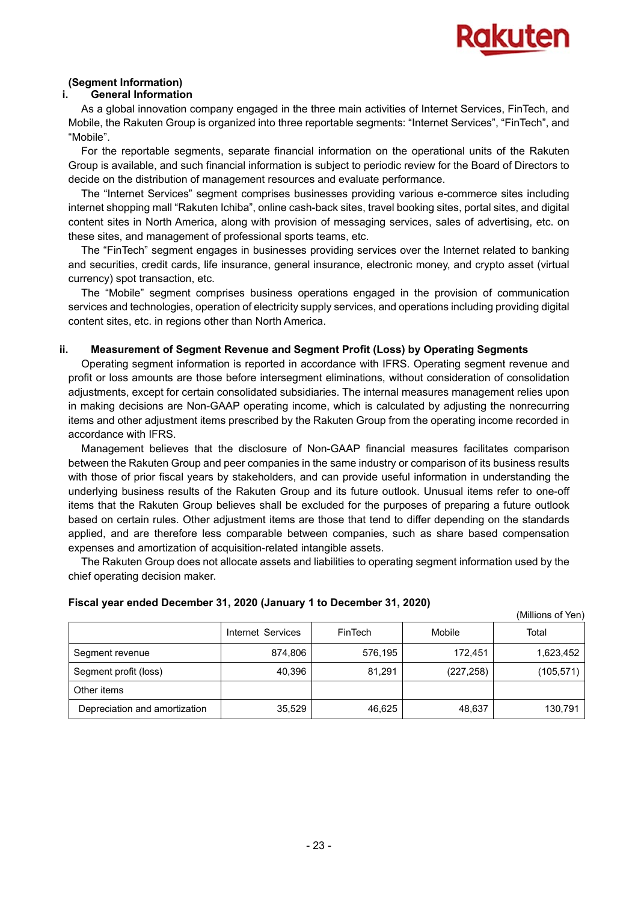

## **(Segment Information)**

#### **i. General Information**

As a global innovation company engaged in the three main activities of Internet Services, FinTech, and Mobile, the Rakuten Group is organized into three reportable segments: "Internet Services", "FinTech", and "Mobile".

For the reportable segments, separate financial information on the operational units of the Rakuten Group is available, and such financial information is subject to periodic review for the Board of Directors to decide on the distribution of management resources and evaluate performance.

The "Internet Services" segment comprises businesses providing various e-commerce sites including internet shopping mall "Rakuten Ichiba", online cash-back sites, travel booking sites, portal sites, and digital content sites in North America, along with provision of messaging services, sales of advertising, etc. on these sites, and management of professional sports teams, etc.

The "FinTech" segment engages in businesses providing services over the Internet related to banking and securities, credit cards, life insurance, general insurance, electronic money, and crypto asset (virtual currency) spot transaction, etc.

The "Mobile" segment comprises business operations engaged in the provision of communication services and technologies, operation of electricity supply services, and operations including providing digital content sites, etc. in regions other than North America.

## **ii. Measurement of Segment Revenue and Segment Profit (Loss) by Operating Segments**

Operating segment information is reported in accordance with IFRS. Operating segment revenue and profit or loss amounts are those before intersegment eliminations, without consideration of consolidation adjustments, except for certain consolidated subsidiaries. The internal measures management relies upon in making decisions are Non-GAAP operating income, which is calculated by adjusting the nonrecurring items and other adjustment items prescribed by the Rakuten Group from the operating income recorded in accordance with IFRS.

Management believes that the disclosure of Non-GAAP financial measures facilitates comparison between the Rakuten Group and peer companies in the same industry or comparison of its business results with those of prior fiscal years by stakeholders, and can provide useful information in understanding the underlying business results of the Rakuten Group and its future outlook. Unusual items refer to one-off items that the Rakuten Group believes shall be excluded for the purposes of preparing a future outlook based on certain rules. Other adjustment items are those that tend to differ depending on the standards applied, and are therefore less comparable between companies, such as share based compensation expenses and amortization of acquisition-related intangible assets.

The Rakuten Group does not allocate assets and liabilities to operating segment information used by the chief operating decision maker.

|                               |                   |         |            | (Millions of Yen) |
|-------------------------------|-------------------|---------|------------|-------------------|
|                               | Internet Services | FinTech | Mobile     | Total             |
| Segment revenue               | 874.806           | 576.195 | 172,451    | 1,623,452         |
| Segment profit (loss)         | 40.396            | 81,291  | (227, 258) | (105, 571)        |
| Other items                   |                   |         |            |                   |
| Depreciation and amortization | 35,529            | 46,625  | 48,637     | 130,791           |

#### **Fiscal year ended December 31, 2020 (January 1 to December 31, 2020)**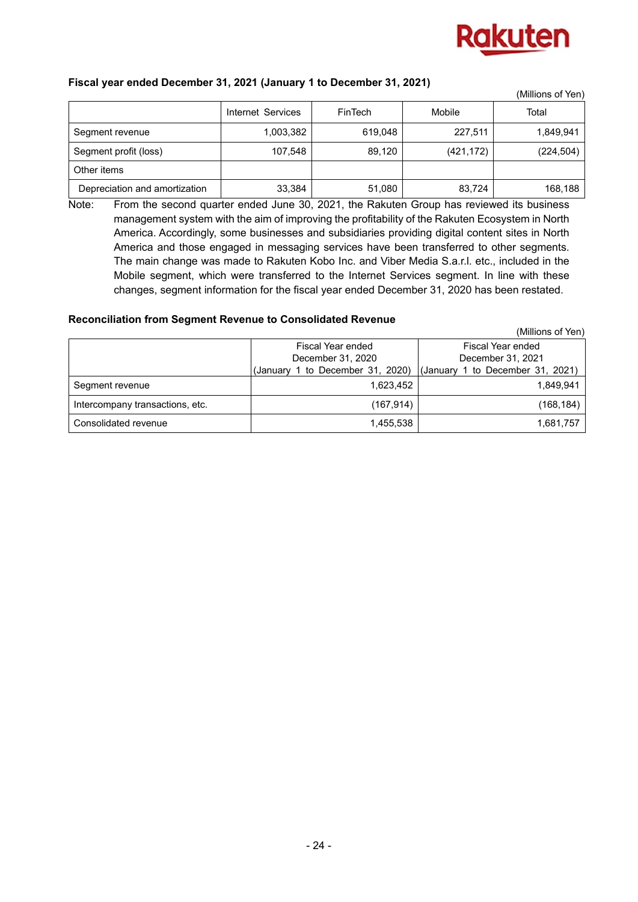

## **Fiscal year ended December 31, 2021 (January 1 to December 31, 2021)**

|                               |                   |                |            | (Millions of Yen) |
|-------------------------------|-------------------|----------------|------------|-------------------|
|                               | Internet Services | <b>FinTech</b> | Mobile     | Total             |
| Segment revenue               | 1,003,382         | 619.048        | 227,511    | 1,849,941         |
| Segment profit (loss)         | 107,548           | 89.120         | (421, 172) | (224, 504)        |
| Other items                   |                   |                |            |                   |
| Depreciation and amortization | 33,384            | 51,080         | 83,724     | 168,188           |

Note: From the second quarter ended June 30, 2021, the Rakuten Group has reviewed its business management system with the aim of improving the profitability of the Rakuten Ecosystem in North America. Accordingly, some businesses and subsidiaries providing digital content sites in North America and those engaged in messaging services have been transferred to other segments. The main change was made to Rakuten Kobo Inc. and Viber Media S.a.r.l. etc., included in the Mobile segment, which were transferred to the Internet Services segment. In line with these changes, segment information for the fiscal year ended December 31, 2020 has been restated.

## **Reconciliation from Segment Revenue to Consolidated Revenue**

|                                 |                                  | (Millions of Yen)                |
|---------------------------------|----------------------------------|----------------------------------|
|                                 | Fiscal Year ended                | Fiscal Year ended                |
|                                 | December 31, 2020                | December 31, 2021                |
|                                 | (January 1 to December 31, 2020) | (January 1 to December 31, 2021) |
| Segment revenue                 | 1,623,452                        | 1.849.941                        |
| Intercompany transactions, etc. | (167,914)                        | (168,184)                        |
| Consolidated revenue            | 1.455.538                        | 1,681,757                        |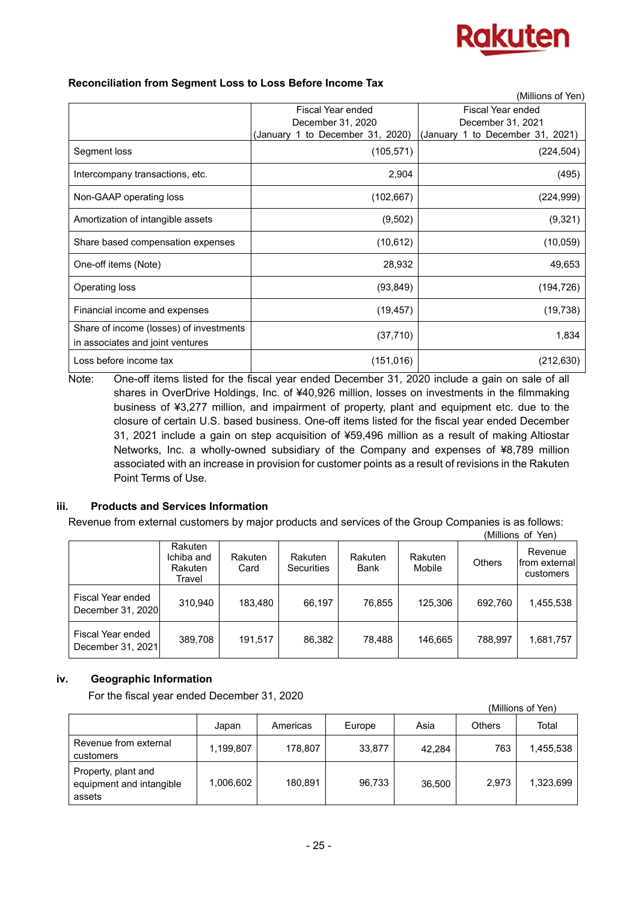

|                                                                             |                                         | (Millions of Yen)                      |
|-----------------------------------------------------------------------------|-----------------------------------------|----------------------------------------|
|                                                                             | Fiscal Year ended<br>December 31, 2020  | Fiscal Year ended<br>December 31, 2021 |
|                                                                             | to December 31, 2020)<br>(January)<br>1 | 1 to December 31, 2021)<br>(January)   |
| Segment loss                                                                | (105, 571)                              | (224, 504)                             |
| Intercompany transactions, etc.                                             | 2,904                                   | (495)                                  |
| Non-GAAP operating loss                                                     | (102, 667)                              | (224, 999)                             |
| Amortization of intangible assets                                           | (9, 502)                                | (9, 321)                               |
| Share based compensation expenses                                           | (10, 612)                               | (10, 059)                              |
| One-off items (Note)                                                        | 28,932                                  | 49,653                                 |
| Operating loss                                                              | (93, 849)                               | (194, 726)                             |
| Financial income and expenses                                               | (19, 457)                               | (19, 738)                              |
| Share of income (losses) of investments<br>in associates and joint ventures | (37, 710)                               | 1,834                                  |
| Loss before income tax                                                      | (151, 016)                              | (212, 630)                             |

Note: One-off items listed for the fiscal year ended December 31, 2020 include a gain on sale of all shares in OverDrive Holdings, Inc. of ¥40,926 million, losses on investments in the filmmaking business of ¥3,277 million, and impairment of property, plant and equipment etc. due to the closure of certain U.S. based business. One-off items listed for the fiscal year ended December 31, 2021 include a gain on step acquisition of ¥59,496 million as a result of making Altiostar Networks, Inc. a wholly-owned subsidiary of the Company and expenses of ¥8,789 million associated with an increase in provision for customer points as a result of revisions in the Rakuten Point Terms of Use.

## **iii. Products and Services Information**

Revenue from external customers by major products and services of the Group Companies is as follows: (Millions of Yen)

|                                        |                                            |                 |                                     |                 |                   | UVIIIIOIIS OL | Ten                                   |
|----------------------------------------|--------------------------------------------|-----------------|-------------------------------------|-----------------|-------------------|---------------|---------------------------------------|
|                                        | Rakuten<br>Ichiba and<br>Rakuten<br>Travel | Rakuten<br>Card | <b>Rakuten</b><br><b>Securities</b> | Rakuten<br>Bank | Rakuten<br>Mobile | <b>Others</b> | Revenue<br>from external<br>customers |
| Fiscal Year ended<br>December 31, 2020 | 310,940                                    | 183,480         | 66,197                              | 76,855          | 125,306           | 692,760       | 1,455,538                             |
| Fiscal Year ended<br>December 31, 2021 | 389,708                                    | 191,517         | 86,382                              | 78,488          | 146.665           | 788.997       | 1,681,757                             |

## **iv. Geographic Information**

For the fiscal year ended December 31, 2020

|                                                           |           |          |        |        |               | (Millions of Yen) |
|-----------------------------------------------------------|-----------|----------|--------|--------|---------------|-------------------|
|                                                           | Japan     | Americas | Europe | Asia   | <b>Others</b> | Total             |
| Revenue from external<br>customers                        | 1,199,807 | 178.807  | 33,877 | 42,284 | 763           | 1,455,538         |
| Property, plant and<br>equipment and intangible<br>assets | 1,006,602 | 180.891  | 96,733 | 36,500 | 2,973         | 1,323,699         |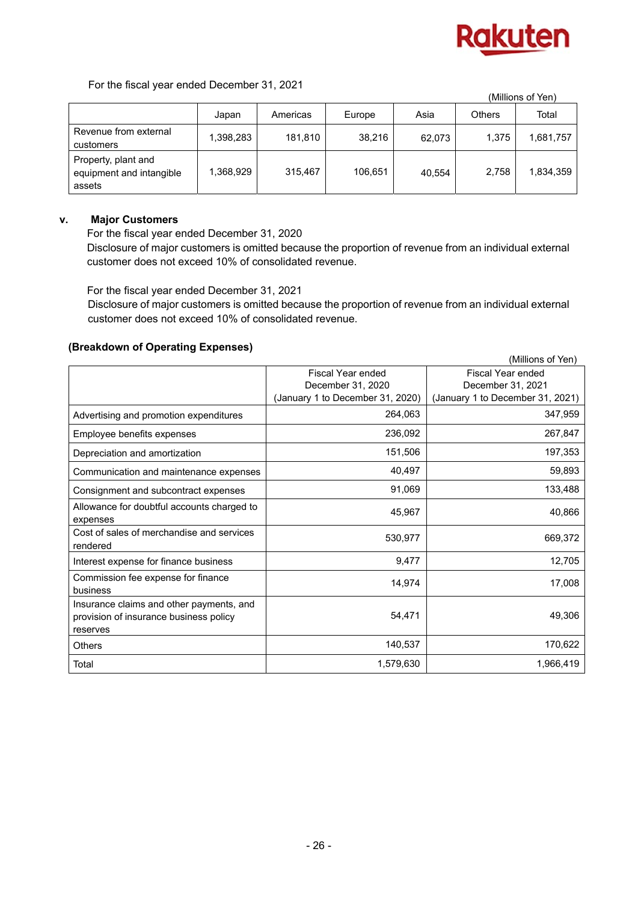

 $(M)$ illions of  $M$ 

For the fiscal year ended December 31, 2021

|                                                           |           |          |         |        |               | (IVIIIIIONS OF TENT |
|-----------------------------------------------------------|-----------|----------|---------|--------|---------------|---------------------|
|                                                           | Japan     | Americas | Europe  | Asia   | <b>Others</b> | Total               |
| Revenue from external<br>customers                        | 1,398,283 | 181,810  | 38.216  | 62,073 | 1.375         | 1,681,757           |
| Property, plant and<br>equipment and intangible<br>assets | 1,368,929 | 315,467  | 106,651 | 40,554 | 2,758         | 1,834,359           |

## **v. Major Customers**

For the fiscal year ended December 31, 2020 Disclosure of major customers is omitted because the proportion of revenue from an individual external customer does not exceed 10% of consolidated revenue.

For the fiscal year ended December 31, 2021

Disclosure of major customers is omitted because the proportion of revenue from an individual external customer does not exceed 10% of consolidated revenue.

## **(Breakdown of Operating Expenses)**

|                                                       |                                  | (Millions of Yen)                |
|-------------------------------------------------------|----------------------------------|----------------------------------|
|                                                       | Fiscal Year ended                | <b>Fiscal Year ended</b>         |
|                                                       | December 31, 2020                | December 31, 2021                |
|                                                       | (January 1 to December 31, 2020) | (January 1 to December 31, 2021) |
| Advertising and promotion expenditures                | 264,063                          | 347,959                          |
| Employee benefits expenses                            | 236,092                          | 267,847                          |
| Depreciation and amortization                         | 151,506                          | 197,353                          |
| Communication and maintenance expenses                | 40,497                           | 59,893                           |
| Consignment and subcontract expenses                  | 91,069                           | 133,488                          |
| Allowance for doubtful accounts charged to            | 45,967                           | 40,866                           |
| expenses                                              |                                  |                                  |
| Cost of sales of merchandise and services<br>rendered | 530,977                          | 669,372                          |
| Interest expense for finance business                 | 9,477                            | 12,705                           |
| Commission fee expense for finance<br>business        | 14,974                           | 17,008                           |
| Insurance claims and other payments, and              | 54,471                           | 49,306                           |
| provision of insurance business policy<br>reserves    |                                  |                                  |
| <b>Others</b>                                         | 140,537                          | 170,622                          |
| Total                                                 | 1,579,630                        | 1,966,419                        |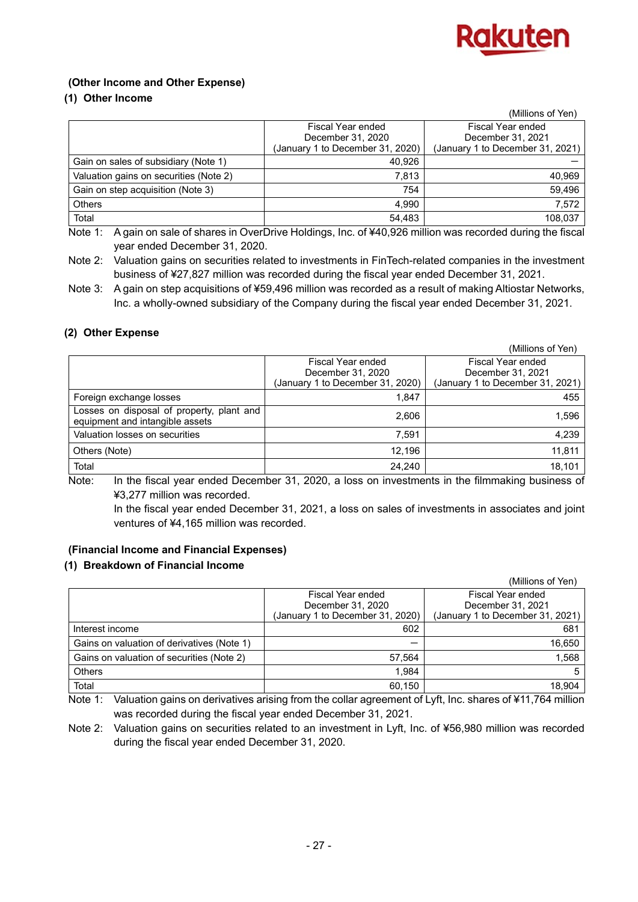

## **(Other Income and Other Expense)**

## **(1) Other Income**

|                                        |                                  | (Millions of Yen)                |
|----------------------------------------|----------------------------------|----------------------------------|
|                                        | Fiscal Year ended                | Fiscal Year ended                |
|                                        | December 31, 2020                | December 31, 2021                |
|                                        | (January 1 to December 31, 2020) | (January 1 to December 31, 2021) |
| Gain on sales of subsidiary (Note 1)   | 40,926                           |                                  |
| Valuation gains on securities (Note 2) | 7.813                            | 40,969                           |
| Gain on step acquisition (Note 3)      | 754                              | 59,496                           |
| <b>Others</b>                          | 4.990                            | 7,572                            |
| Total                                  | 54,483                           | 108,037                          |

Note 1: A gain on sale of shares in OverDrive Holdings, Inc. of ¥40,926 million was recorded during the fiscal year ended December 31, 2020.

Note 2: Valuation gains on securities related to investments in FinTech-related companies in the investment business of ¥27,827 million was recorded during the fiscal year ended December 31, 2021.

Note 3: A gain on step acquisitions of ¥59,496 million was recorded as a result of making Altiostar Networks, Inc. a wholly-owned subsidiary of the Company during the fiscal year ended December 31, 2021.

## **(2) Other Expense**

|                                                                              |                                  | (Millions of Yen)                |
|------------------------------------------------------------------------------|----------------------------------|----------------------------------|
|                                                                              | Fiscal Year ended                | Fiscal Year ended                |
|                                                                              | December 31, 2020                | December 31, 2021                |
|                                                                              | (January 1 to December 31, 2020) | (January 1 to December 31, 2021) |
| Foreign exchange losses                                                      | 1.847                            | 455                              |
| Losses on disposal of property, plant and<br>equipment and intangible assets | 2,606                            | 1,596                            |
| Valuation losses on securities                                               | 7.591                            | 4,239                            |
| Others (Note)                                                                | 12.196                           | 11,811                           |
| Total                                                                        | 24,240                           | 18,101                           |

Note: In the fiscal year ended December 31, 2020, a loss on investments in the filmmaking business of ¥3,277 million was recorded.

 In the fiscal year ended December 31, 2021, a loss on sales of investments in associates and joint ventures of ¥4,165 million was recorded.

## **(Financial Income and Financial Expenses)**

## **(1) Breakdown of Financial Income**

|                                            |                                  | (Millions of Yen)                |
|--------------------------------------------|----------------------------------|----------------------------------|
|                                            | Fiscal Year ended                | Fiscal Year ended                |
|                                            | December 31, 2020                | December 31, 2021                |
|                                            | (January 1 to December 31, 2020) | (January 1 to December 31, 2021) |
| Interest income                            | 602                              | 681                              |
| Gains on valuation of derivatives (Note 1) |                                  | 16,650                           |
| Gains on valuation of securities (Note 2)  | 57,564                           | 1,568                            |
| <b>Others</b>                              | 1,984                            |                                  |
| Total                                      | 60,150                           | 18,904                           |

Note 1: Valuation gains on derivatives arising from the collar agreement of Lyft, Inc. shares of ¥11,764 million was recorded during the fiscal year ended December 31, 2021.

Note 2: Valuation gains on securities related to an investment in Lyft, Inc. of ¥56,980 million was recorded during the fiscal year ended December 31, 2020.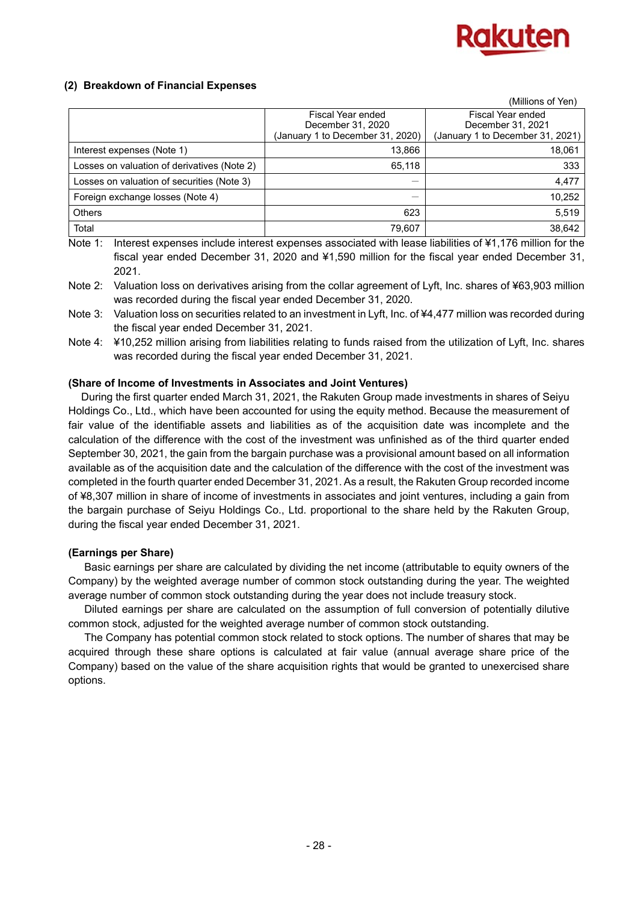

## **(2) Breakdown of Financial Expenses**

|                                             |                                        | (Millions of Yen)                      |
|---------------------------------------------|----------------------------------------|----------------------------------------|
|                                             | Fiscal Year ended<br>December 31, 2020 | Fiscal Year ended<br>December 31, 2021 |
|                                             | (January 1 to December 31, 2020)       | (January 1 to December 31, 2021)       |
| Interest expenses (Note 1)                  | 13,866                                 | 18,061                                 |
| Losses on valuation of derivatives (Note 2) | 65,118                                 | 333                                    |
| Losses on valuation of securities (Note 3)  |                                        | 4,477                                  |
| Foreign exchange losses (Note 4)            | –                                      | 10,252                                 |
| <b>Others</b>                               | 623                                    | 5,519                                  |
| Total                                       | 79,607                                 | 38,642                                 |

Note 1: Interest expenses include interest expenses associated with lease liabilities of ¥1,176 million for the fiscal year ended December 31, 2020 and ¥1,590 million for the fiscal year ended December 31, 2021.

Note 2: Valuation loss on derivatives arising from the collar agreement of Lyft, Inc. shares of ¥63,903 million was recorded during the fiscal year ended December 31, 2020.

- Note 3: Valuation loss on securities related to an investment in Lyft, Inc. of ¥4,477 million was recorded during the fiscal year ended December 31, 2021.
- Note 4: ¥10,252 million arising from liabilities relating to funds raised from the utilization of Lyft, Inc. shares was recorded during the fiscal year ended December 31, 2021.

#### **(Share of Income of Investments in Associates and Joint Ventures)**

During the first quarter ended March 31, 2021, the Rakuten Group made investments in shares of Seiyu Holdings Co., Ltd., which have been accounted for using the equity method. Because the measurement of fair value of the identifiable assets and liabilities as of the acquisition date was incomplete and the calculation of the difference with the cost of the investment was unfinished as of the third quarter ended September 30, 2021, the gain from the bargain purchase was a provisional amount based on all information available as of the acquisition date and the calculation of the difference with the cost of the investment was completed in the fourth quarter ended December 31, 2021. As a result, the Rakuten Group recorded income of ¥8,307 million in share of income of investments in associates and joint ventures, including a gain from the bargain purchase of Seiyu Holdings Co., Ltd. proportional to the share held by the Rakuten Group, during the fiscal year ended December 31, 2021.

## **(Earnings per Share)**

Basic earnings per share are calculated by dividing the net income (attributable to equity owners of the Company) by the weighted average number of common stock outstanding during the year. The weighted average number of common stock outstanding during the year does not include treasury stock.

Diluted earnings per share are calculated on the assumption of full conversion of potentially dilutive common stock, adjusted for the weighted average number of common stock outstanding.

The Company has potential common stock related to stock options. The number of shares that may be acquired through these share options is calculated at fair value (annual average share price of the Company) based on the value of the share acquisition rights that would be granted to unexercised share options.